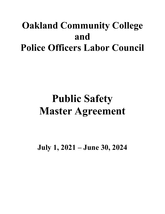## **Oakland Community College and Police Officers Labor Council**

# **Public Safety Master Agreement**

**July 1, 2021 – June 30, 2024**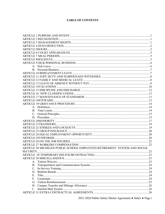#### **TABLE OF CONTENTS**

| ARTICLE 28 MICHIGAN PUBLIC SCHOOL EMPLOYEES RETIREMENT SYSTEM AND SOCIAL |     |
|--------------------------------------------------------------------------|-----|
|                                                                          |     |
|                                                                          | .23 |
|                                                                          |     |
| $A_{-}$                                                                  |     |
| В.                                                                       |     |
| C.                                                                       |     |
| D.                                                                       |     |
| Ε.                                                                       |     |
| F.                                                                       |     |
| G.                                                                       |     |
|                                                                          |     |
| I.                                                                       |     |
|                                                                          |     |

2021-2024 Public Safety Master Agreement ♦ Index ♦ Page i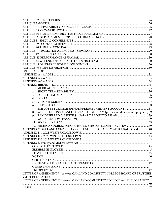| 1.                                                                                 |  |
|------------------------------------------------------------------------------------|--|
| 2.                                                                                 |  |
| 3.                                                                                 |  |
| 4.                                                                                 |  |
| 5.                                                                                 |  |
| 6.                                                                                 |  |
| EMPLOYEE FLEXIBLE SPENDING/REIMBURSEMENT ACCOUNT 38<br>7.                          |  |
| WHOLE LIFE INSURANCE PORTABLE PROGRAM (permanent life insurance programs) 39<br>8. |  |
| 9.                                                                                 |  |
|                                                                                    |  |
|                                                                                    |  |
| 12. MICHIGAN PUBLIC SCHOOL EMPLOYEES RETIREMENT SYSTEM 39                          |  |
| APPENDIX C OAKLAND COMMUNITY COLLEGE PUBLIC SAFETY APPRAISAL FORM40                |  |
|                                                                                    |  |
|                                                                                    |  |
|                                                                                    |  |
|                                                                                    |  |
|                                                                                    |  |
|                                                                                    |  |
|                                                                                    |  |
|                                                                                    |  |
|                                                                                    |  |
|                                                                                    |  |
|                                                                                    |  |
|                                                                                    |  |
| LETTER OF AGREEMENT #1 between OAKLAND COMMUNITY COLLEGE BOARD OF TRUSTEES         |  |
|                                                                                    |  |
| LETTER OF AGREEMENT #2 between OAKLAND COMMUNITY COLLEGE and PUBLIC SAFETY         |  |
|                                                                                    |  |
|                                                                                    |  |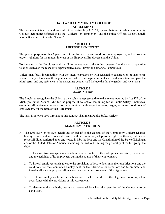#### **OAKLAND COMMUNITY COLLEGE AGREEMENT**

This Agreement is made and entered into effective July 1, 2021, by and between Oakland Community College, hereinafter referred to as the "College" or "Employer," and the Police Officers LaborCouncil, hereinafter referred to as the "Union."

#### **ARTICLE 1 PURPOSE AND INTENT**

<span id="page-3-0"></span>The general purpose of this Agreement is to set forth terms and conditions of employment, and to promote orderly relations for the mutual interest of the Employer, Employees and the Union.

To these ends, the Employer and the Union encourage to the fullest degree, friendly and cooperative relations between the respective representatives at all levels and among all employees.

Unless manifestly incompatible with the intent expressed or with reasonable construction of such term, whenever any reference in this agreement is made to the singular term, it shall be deemed to encompass the plural term, and any reference to the masculine gender shall include the female gender, and vice versa.

#### **ARTICLE 2 RECOGNITION**

<span id="page-3-1"></span>The Employer recognizes the Union as the exclusive representative to the extent required by Act 379 of the Michigan Public Acts of 1965 for the purpose of collective bargaining for all Public Safety Employees, excluding all lieutenants, supervisors and executives with respect to hours, wages, terms and conditions of employment, for the term of this Agreement.

<span id="page-3-2"></span>The term Employee used throughout this contract shall mean Public Safety Officer.

#### **ARTICLE 3 MANAGEMENT RIGHTS**

- A. The Employer, on its own behalf and on behalf of the electors of the Community College District, hereby retains and reserves unto itself, without limitation, all powers, rights, authority, duties and responsibilities conferred upon and vested in it by the laws and the Constitution of the State of Michigan and of the United States of America, including, but without limiting the generality of the foregoing, the right:
	- 1. To the executive management and administrative control of the College, its properties, its facilities and the activities of its employees, during the course of their employment.
	- 2. To hire all employees and subject to the provisions of law, to determine their qualifications and the conditions for their continued employment, or their dismissal or demotion; and to promote, and transfer all such employees, all in accordance with the provisions of this Agreement.
	- 3. To relieve employees from duties because of lack of work or other legitimate reasons, all in accordance with the provisions of this Agreement.
	- 4. To determine the methods, means and personnel by which the operation of the College is to be conducted.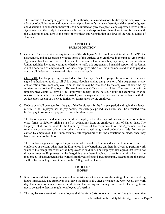B. The exercise of the foregoing powers, rights, authority, duties and responsibilities by the Employer, the adoption of policies, rules and regulations and practices in furtherance thereof, and the use of judgment and discretion in connection therewith shall be limited only by the specific and expressed terms of this Agreement and then only to the extent such specific and express terms hereof are in conformance with the Constitution and laws of the State of Michigan and Constitution and laws of the United States of America.

#### **ARTICLE 4 DUES DEDUCTION**

- <span id="page-4-0"></span>A. General. Consistent with the requirements of the Michigan Public Employment Relations Act (PERA), as amended, and in accordance with the terms of this Article, each employee in the unit covered by this Agreement has the choice of whether or not to become a Union member, pay dues, and participate in Union activities including voting on whether to ratify this Agreement. Financial support of the Union is not a condition of employment. For those employees who are Union members and wish to pay due via payroll deduction, the terms of this Article shall apply.
- B. Check-Off. The Employer agrees to deduct from the pay of each employee from whom it receives a signed authorization to do so, all Union dues. Notwithstanding any provision of this Agreement or any authorization form, each employee's authorization may be rescinded by the employee at any time, by written notice to the Employer's Human Resources Office and the Union. The rescission will be implemented within 30 days of the Employer's receipt of the notice. Should the employee wish to reactivate dues deductions under this Article, such a request will be processed in accordance with this Article upon receipt of a new authorization form signed by the employee.
- C. Deductions shall be made from the pay of the Employees for the first pay period ending in the calendar month. If the Employee has no pay coming for such pay period, such dues shall be deducted from his/her pay in subsequent pay periods in such calendar year.
- D. The Union agrees to indemnify and hold the Employer harmless against any and all claims, suits or other forms of liability arising out of its deductions from an employee's pay of Union dues. The Employer shall not be liable to the Union by reason of the requirements of this Agreement for the remittance or payment of any sum other than that constituting actual deductions made from wages earned by employees. The Union assumes full responsibility for the deductions so made, once they have been sent to the Union.
- E. The Employer agrees to respect the jurisdictional rules of the Union and shall not direct or require its employees or persons other than the Employees in the bargaining unit here involved, to perform work which is the recognized work of the Employees in said unit. The Employer also agrees that it will not direct or require Employees in the bargaining unit here involved to perform work which is the recognized job assignment as the work of Employees of other bargaining units. Exceptions to the above shall be by mutual agreement between the College and the Union.

#### **ARTICLE 5 HOURS**

- <span id="page-4-1"></span>A. It is recognized that the requirements of administering a College make the setting of definite working hours impractical. The Employer shall have the right to fix, alter or change the work week, the work day, the number of hours of work, the shifts and the starting and ending time of each. These rights are not to be used to deprive regular employees of overtime.
- B. The regular work week of the employees shall be forty (40) hours consisting of five (5) consecutive

2021-2024 Public Safety Master Agreement ♦ Page 2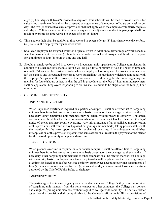eight (8) hour days with two (2) consecutive days off. This schedule will be used to provide a basis for calculating overtime only and not be construed as a guarantee of the number of hours per week or per day. The two (2) consecutive days off provision shall not apply when the employee voluntarily requests split days off. It is understood that voluntary requests for adjustment under this paragraph shall not result in overtime for time worked in excess of eight (8) hours.

- C. Time and one-half shall be paid for all time worked in excess of eight (8) hours in any one day or forty (40) hours in the employee's regular work week.
- D. Should an employee be assigned work for a Special Event in addition to his/her regular work schedule which necessitates at least a one (1) hour break in his/her normal work assignment, he/she will be paid for a minimum of four (4) hours at time and one-half.
- E. Should an employee be called in to work by a Lieutenant, unit supervisor, or College administrator in addition to his/her regular schedule, he/she will be paid for a minimum of four (4) hours at time and one-half. Call-in shall be considered to be when an employee has completed his work assignment and left the campus and is requested to return to work but shall not include hours which are continuous with the employee's regular shift. However, if it is necessary to extend the regular shift of a bargaining unit member for four (4) hours or less, neither the call-in procedure nor the four (4) hour minimum payment shall be applicable. Employees responding to alarms shall continue to be eligible for the four (4) hour minimum.

#### F. OVERTIME/EMERGENCY DUTY

#### a. UNPLANNED OVERTIME

When unplanned overtime is required on a particular campus, it shall be offered first to bargaining unit members from that campus on a rotational basis based upon the coverage required and then, if necessary, other bargaining unit members may be called without regard to seniority. Unplanned overtime shall be defined as those situations wherein the Lieutenant has less than two (2) days' notice of events that may require overtime. Any initial instance of an established misapplication of this provision shall result in any bypassed bargaining unit member(s) taking priority status with the rotation for the next opportunity for unplanned overtime. Any subsequent established misapplication of this provision bypassing the same officer shall result in the payment of the officer for the missed opportunity of unplanned overtime.

#### b. PLANNED OVERTIME

When planned overtime is required on a particular campus, it shall be offered first to bargaining unit members from that campus on a rotational basis based upon the coverage required and then, if necessary, other bargaining unit members at other campuses shall be offered the work on a collegewide seniority basis. Employees on a temporary transfer will be placed on the receiving campus overtime list based upon his/her College seniority. Employees accepting overtime assignments of four (4) hours or more each day for two (2) consecutive days or more must have such overtime approved by the Chief of Public Safety or designee.

#### c. EMERGENCY DUTY

The parties agree that in an emergency on a particular campus or College facility requiring services of bargaining unit members from the home campus or other campuses, the College may contact and assign bargaining unit members without regard to college-wide seniority. The parties further agree that this provision shall be applicable to the College's efforts to fulfill the provisions of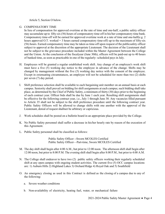Article 5, Section O below.

#### G. COMPENSATORY TIME

In lieu of compensation for approved overtime at the rate of time and one-half, a public safety officer may accumulate up to fifty-six (56) hours of compensatory time-off in his/her compensatory time bank. Compensatory time-off will be earned for approved overtime work at a rate of time and one-half(e.g. 2 hours approved O.T. worked = 3 hours earned compensatory time-off) up to the maximum of fifty-six (56) hours. Earned compensatory time may be taken as time-off upon request of the publicsafety officer subject to approval at the discretion of the appropriate Lieutenant. The decision of the Lieutenant shall not be subject to the grievance procedure included within the Master Agreement between the College and the Union. At the conclusion of the fiscalyear (June 30th), officers will be paid-out up to 40 hours of banked time, as soon as practicable in one of the regularly- scheduled pays in July.

- H. Employees will be granted a regular established work shift. Any change of an employee's work shift must have a five (5) working day notice to the employee in advance of the change. Shifts may be changed by management without the five (5) working day notice with the consent of the employee. Except in extenuating circumstances, an employee will not be scheduled for more than two (2) shifts per seven (7) day period.
- I. Shift preference selection shall be available to each bargaining unit member on an annual basis at each campus. Seniority shall prevail on bidding for shift assignments at each campus; such bidding shall take place, as determined by the Chief of Public Safety, a minimum of thirty (30) days prior to the beginning of each contract year. Officer bids shall be due by June 1 each year. Resulting shift assignments shall be effective for the following contract year, i.e., July 1 through June 30. Any vacancies filled pursuant to Article 35 shall not be subject to the shift preference procedure until the following contract year. Public Safety Officers will be allowed to change shifts with one another with the approval of the Lieutenant, denial of request shallnot be arbitrary or capricious.
- J. Work schedules shall be posted on a bulletin board in an appropriate place provided by the College.
- K. No Public Safety personnel shall suffer a decrease in his/her hourly rate by reason of the execution of this Agreement.
- L. Public Safety personnel shall be classified as follows:

Public Safety Officer --Sworn MCOLES Certified Public Safety Officer—Part-time, Sworn MCOLES Certified

- M. The day shift shall begin after 4:00 A.M., but prior to 12:00 noon. The afternoon shift shall begin after 12:00 noon, but prior to 8:00 P.M. The evening shift shall begin after 8:00 P.M., but prior to 4:00 A.M.
- N. The College shall endeavor to have two (2) public safety officers working their regularly scheduled shift at any open campus with ongoing student activities. The current five (5) OCC campus locations are: 1) Auburn Hills 2) Highland Lakes 3) Orchard Ridge 4) Royal Oak and 5) Southfield
- O. An emergency closing as used in this Contract is defined as the closing of a campus due to any of the following:
	- a. Severe weather conditions
	- b. Non-availability of electricity, heating fuel, water, or mechanical failure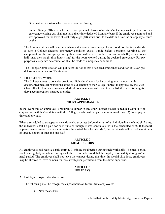- c. Other natural disasters which necessitates the closing
- d. Public Safety Officers scheduled for personal business/vacation/sick/compensatory time on an emergency closing day shall not have their time deducted from any bank if the employee submitted and was approved for the leave at least forty-eight (48) hours prior to the date and time the emergency closure begins.

The Administration shall determine when and where an emergency closing condition begins and ends. If such a College declared emergency condition exists, Public Safety Personnel working at the campus/site of the emergency during this period will receive double time and one-half (two and onehalf times the straight time hourly rate) for the hours worked during the declared emergency. For pay purposes, a separate determination shall be made of emergency conditions.

The College Administration will publicize the notice that a declared emergency condition exists on predetermined radio and/or TV stations.

#### P. LIGHT-DUTY WORK

The College agrees to consider providing "light-duty" work for bargaining unit members with documented medical restrictions at the sole discretion of the College, subject to approval by the Vice Chancellor for Human Resources. Medical documentation sufficient to establish the basis for a lightduty accommodation must be provided.

#### **ARTICLE 6 COURT APPEARANCES**

<span id="page-7-0"></span>In the event that an employee is required to appear in any court outside his/her scheduled work shift in conjunction with his/her duties with the College, he/she will be paid a minimum of three (3) hours pay at time and one-half.

When a scheduled court appearance ends one hour or less before the start of an individual's scheduled shift time, the individual shall be paid for such time as though it was continuous with the scheduled shift. If thecourt appearance ends more than one hour before the start of the scheduled shift, the individual shall be paid a minimum of three (3) hours at time and one-half.

#### **ARTICLE 7 MEAL PERIODS**

<span id="page-7-1"></span>All employees shall receive a paid thirty (30) minute meal period during each work shift. The meal period shall be irregularly scheduled during each shift. It is understood that the employee is on duty during his/her meal period. The employee shall not leave the campus during this time. In special situations, employees may be allowed to leave campus for meals with prior permission from the direct supervisor.

#### **ARTICLE 8 HOLIDAYS**

<span id="page-7-2"></span>A. Holidays recognized and observed

The following shall be recognized as paid holidays for full-time employees:

• New Year's Eve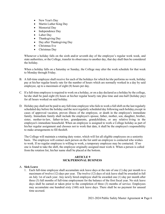- New Year's Day
- Martin Luther King Day
- Memorial Day
- Independence Day
- Labor Day
- Thanksgiving Day
- Day after Thanksgiving Day
- Christmas Eve
- Christmas Day

Whenever a holiday falls on the sixth and/or seventh day of the employee's regular work week, and state authorities, or the College, transfer its observance to another day, that day shall then be considered the holiday.

When a holiday falls on a Saturday or Sunday, the College may alter the work schedule for that week to Monday through Friday.

- B. A full-time employee shall receive for each of the holidays for which he/she performs no work, holiday pay at his/her regular hourly rate for the number of hours which are normally worked in a day by said employee, up to a maximum of eight (8) hours per day.
- C. If a full-time employee is required to work on a holiday, or on a day declared as a holiday by the college, he/she shall be paid eight (8) hours at his/her regular hourly rate plus time and one-half (holiday pay) for all hours worked on said holiday.
- D. Holiday pay shall not be paid to any full-time employee who fails to work a full shift on the last regularly scheduled day before the holiday and the next regularly scheduled day following such holiday,except in cases of approved vacation, proven illness of the employee, or death in the employee's immediate family. Immediate family shall include the employee's spouse, father, mother, son, daughter, brother, sister, mother-in-law, father-in-law, grandparents, grandchildren, or any relative living in the employee's immediate household. When an employee is assigned to work a College holiday as part of his/her regular assignment and chooses not to work that date, it shall be the employee's responsibility to make arrangements to fill theshift.

The College will maintain a rotating duty roster, which will list all eligible employees on a seniority basis. The employee will contact each person on the list until an employee is contacted who wishes to work. If no regular employee is willing to work, a temporary employee may be contacted. If no one is found to take the shift, the employee originally assigned must work it. When a person is called from the rotation list, his/her name shall be placed at the bottom.

#### **ARTICLE 9 SICK/PERSONAL BUSINESS**

#### <span id="page-8-1"></span><span id="page-8-0"></span>A. **Sick Leave**

1. Each full-time employee shall accumulate sick leave days at the rate of one (1) day per month to a maximum of twelve (12) days per year. The twelve (12) days of sick leave shall be awarded in full on July 1st of each year. Any newly hired employee shall be awarded one (1) day per month after three (3) full months of full-time employment for the balance of the first fiscal year. No sick leave days shall be earned or taken prior to the completion of three (3) months of service. Employees may accumulate one hundred sixty (160) sick leave days. There shall be no payment for unused time accrued.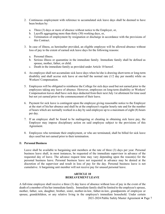- 2. Continuous employment with reference to accumulated sick leave days shall be deemed to have been broken by:
	- a. Three (3) days or more of absence without notice to the Employer, or,
	- b. Layoffs aggregating more than thirty (30) working days, or,
	- c. Termination of employment by resignation or discharge in accordance with the provisions of this Contract.
- 3. In case of illness, as hereinafter provided, an eligible employee will be allowed absence without loss of pay to the extent of earned sick leave days for the following reasons:
	- a. Personal illness.
	- b. Serious illness or quarantine in the immediate family. Immediate family shall be defined as spouse, mother, father, or child.
	- c. Death in the immediate family as provided under Article 10 hereof.
- 4. An employee shall not accumulate sick leave days when he/she is drawing short-term or long-term disability and shall accrue sick leave at one-half the normal rate (1/2 day per month) while on Workers' Compensation.
- 5. Employees will be obligated to reimburse the College for sick days used but not earned prior to the employees taking any leave of absence. However, employees on long-term disability or Workers' Compensation leaves shall have sick days deducted from their next July 1st allotment for time used but not yet earned prior to the commencement of their leave.
- 6. Payment for sick leave is contingent upon the employee giving reasonable notice to the Employer at the start of his/her absence and shall be at the employee's regular hourly rate and for the number of hours which are normally worked in a day by said employee up to a maximum of eight (8) hours per day.
- 7. If an employee shall be found to be malingering or cheating in obtaining sick leave pay, the Employer may impose disciplinary action on said employee subject to the provisions of this Agreement.
- 8. Employees who terminate their employment, or who are terminated, shall be billed for sick leave days used but not earned prior to their termination.

#### <span id="page-9-0"></span>B. **Personal Business**

Leave shall be available to bargaining unit members at the rate of three (3) days per year. Personal business leave shall, in most instances, be requested of the immediate supervisor in advance of the requested day of leave. The advance request time may vary depending upon the reason(s) for the personal business leave. Personal business leave not requested in advance may be denied at the discretion of the supervisor and result in loss of pay for the day. Personal business leave is not cumulative. A bargaining unit member will not receive pay for unused personal leave.

#### **ARTICLE 10 BEREAVEMENT LEAVE**

<span id="page-9-1"></span>A full-time employee shall receive a three (3) day leave of absence without loss of pay in the event of the death of a member of his/her immediate family. Immediate family shall be limited to the employee's spouse, mother, father, son, daughter, brother, sister, mother-in-law, father-in-law, grandparents of employee or spouse, grandchildren, or any relative living in the employee's immediate household. Under certain

2021-2024 Public Safety Master Agreement ♦ Page 7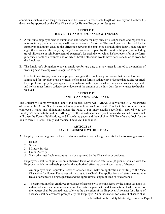<span id="page-10-0"></span>conditions, such as when long distances must be traveled, a reasonable length of time beyond the three (3) days may be approved by the Vice Chancellor for Human Resources or designee.

#### **ARTICLE 11 JURY DUTY AND SUBPOENAED WITNESSES**

- A. A full-time employee who is summoned and reports for jury duty or is subpoenaed and reports as a witness in any judicial hearing, shall receive a leave of absence. The employee shall be paid by the Employer an amount equal to the difference between the employee's straight time hourly base rate for eight (8) hours and the daily jury duty fee or witness fee paid by the court or litigant (not including travel allowance or reimbursement of expenses), for each day on which he/she reports for or performs jury duty or acts as a witness and on which he/she otherwise would have been scheduled to work for the Employer.
- B. The Employer's obligation to pay an employee for jury duty or as a witness is limited to the number of working days the employee is required to serve.

In order to receive payment, an employee must give the Employer prior notice that he/she has been summoned for jury duty or as a witness; he/she must furnish satisfactory evidence that he/she reported for or performed jury duty or appeared as a witness on the days for which he/she claims such payment; and he/she must furnish satisfactory evidence of the amount of the jury duty fee or witness fee he/she received.

#### **ARTICLE 12 FAMILY AND MEDICAL LEAVE**

<span id="page-10-1"></span>The College will comply with the Family and Medical Leave Act (FMLA). A copy of the U.S. Department of Labor's FMLA Fact Sheet is attached as Appendix E to this Agreement. This Fact Sheet summarizes an employee's rights and obligations under the FMLA. For more details specifically applicable to the Employer's administration of the FMLA, go to https://oaklandcc.sharepoint.com and click on Forms (which will open the Forms, Publications, and Procedures page) and then click on HR-Benefits and look for the link to form HR-34S, Family and Medical Leave Act Guidelines.

#### **ARTICLE 13 LEAVE OF ABSENCE WITHOUT PAY**

- <span id="page-10-2"></span>A. Employees may be granted a leave of absence without pay or fringe benefits for the following reasons:
	- 1. Health
	- 2. Study
	- 3. Military Service
	- 4. Union Activity
	- 5. Such other justifiable reasons as may be approved by the Chancellor or designee.
- B. Employees shall be eligible for an authorized leave of absence after one (1) year of service with the Employer which immediately precedes the authorized effective date of such leave of absence.
	- 1. An employee who requests a leave of absence shall make an application in writing to the Vice Chancellor for Human Resources with a copy to the Chief. The application shall state the reasonthe leave of absence is being requested and the approximate length of time of said absence.
	- 2. The application of an employee for a leave of absence will be considered by the Employer upon its individual merit and circumstances and the parties agree that the determination of whether or not the request shall be granted rests solely at the discretion of the Employer. A request for a leave of absence shall be answered promptly by the Employer. An authorization for leave of absence shall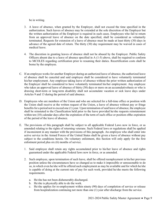be in writing.

- 3. A leave of absence, when granted by the Employer, shall not exceed the time specified in the authorization. Such leaves of absence may be extended at the sole discretion of the Employer but the written authorization of the Employer is required in such cases. Employees who fail to return from an approved leave of absence on the date specified, shall be considered as voluntarily terminated. Requests for extension of a leave of absence must be made at least thirty (30) days in advance of the agreed date of return. The thirty (30) day requirement may be waived in cases of medical leave.
- 4. The discretion in granting leaves of absence shall not be abused by the Employer. Public Safety Officers absent due to a leave of absence specified in  $A(1-5)$  above, shall be required to conform to MCOLES regarding certification prior to resuming their duties. Recertification costs shall be borne by the employee.
- C. If an employee works for another Employer during an authorized leave of absence, the authorized leave of absence shall be canceled and said employee shall be considered to have voluntarily terminated his/her employment. Any employee taking leave of absence without the prior written authorization of the Employer shall be considered to have voluntarily terminated his/her employment. Any employee who takes an approved leave of absence of thirty (30) days or more on an accumulativebasis or who is drawing short-term or long-term disability shall not accumulate vacation or sick leave days under Articles 9 and 13 during the period of said absence.
- D. Employees who are members of the Union and who are selected for a full-time office or position with the Union shall receive at the written request of the Union, a leave of absence without pay or fringe benefits for a period not to exceed one (1) year. Upon termination of said leave of absence, the employee shall be reinstated to the Classification held prior to the leave provided he/she requests reinstatement within ten (10) calendar days after the expiration of the term of such office or position ofthe expiration of the period of the leave of absence.
- E. The provisions of this paragraph shall be subject to all applicable Federal Laws now in force, or as amended relating to the rights of returning veterans. Such Federal laws or regulations shall be applied if inconsistent in any manner with the provisions of this paragraph. An employee who shall enter into active service in the Armed Forces of the United States shall be given a leave of absence without pay subject to the conditions herein. On voluntary enlistment, this Section will only apply for the first enlistment period plus six (6) months of service.
	- 1. Said employee shall retain any rights accumulated prior to his/her leave of absence and rights guaranteed under the applicable Federal laws now in force, or as amended.
	- 2. Such employee, upon termination of such leave, shall be offered reemployment in his/her previous position unless the circumstances have so changed as to make it impossible or unreasonable to do so, in which even he/she will be offered such employment as may be available and for which he/she is capable of doing at the current rate of pay for such work, provided he/she meets the following requirements.
		- a. He/she has not been dishonorably discharged.
		- b. He/she is physically able to do the work.
		- c. He/she applies for re-employment within ninety (90) days of completion of service or release from hospitalization continuing not more than one (1) year after discharge from the service.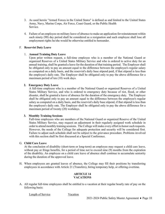- 3. As used herein "Armed Forces in the United States" is defined as and limited to the United States Army, Navy, Marine Corps, Air Force, Coast Guard, or the Public Health Service.
- 4. Failure of an employee on military leave of absence to make an application for reinstatement within such ninety (90) day period shall be considered as a resignation and such employee shall lose all employment rights he/she would be otherwise entitled to hereunder.

#### F. **Reservist Duty Leave**

#### 1. **Annual Training Duty Leave**

Upon prior written request, a full-time employee who is a member of the National Guard or organized Reserves of a United States Military Service and who is ordered to active duty for an annual training, shall be granted a leave for the duration of that training period. The Employer shall be obligated only to pay an amount equal to the difference between the employee's regular salary as computed on a daily basis, and the reservist's daily base stipend paid, if that stipend is less than the employee's daily rate. The Employer shall be obligated only to pay the above difference for a maximum period of ten (10) work days.

#### **2. Emergency Duty Leave**

A full-time employee who is a member of the National Guard or organized Reserves of a United States Military Service, and who is ordered to emergency duty because of riot, flood, or other disaster, shall be granted a leave of absence for the duration of the emergency duty. The Employer shall be obligated only to pay an amount equal to the difference between the employee's regular salary as computed on a daily basis, and the reservist's daily base stipend, if that stipend is less than the employee's daily rate. The Employer shall be obligated only to pay the above difference for a maximum period of twenty (20) workdays.

#### **3. Monthly Training Sessions**

Full-time employees who are members of the National Guard or organized Reserve of the United States Military Service, may request an adjustment in their regularly assigned work schedule in order to attend monthly training sessions. The College will make every effort to honorsuch requests. However, the needs of the College for adequate protection and security will be considered first. Failure to adjust such schedule shall not be subject to the grievance procedure. Problems involved with this section shall be first discussed at a Special Conference.

#### G. **Child Care Leave**

At the conclusion of disability (short-term or long-term) an employee may request a child care leave, without pay or fringe benefits, for a period of time not to exceed nine (9) months from the expiration of the disability. An employee on a child care leave of absence shall continue to accumulate seniority during the duration of the approved leave.

<span id="page-12-0"></span>H. When employees are granted leaves of absence, the College may fill their positions by transferring employees in accordance with Article 21 (Transfers), hiring temporary help, or offering overtime.

#### **ARTICLE 14 VACATIONS**

A. All regular full-time employees shall be entitled to a vacation at their regular hourly rate of pay on the following basis:

Length of Service Vacation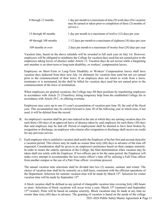| 0 through 12 months   | 1 day per month to a maximum of nine (9) work days (No vacation<br>may be earned or taken prior to completion of three (3) months of<br>service.) |
|-----------------------|---------------------------------------------------------------------------------------------------------------------------------------------------|
| 13 through 48 months  | 1 day per month to a maximum of twelve (12) days per year                                                                                         |
| 49 through 108 months | $11/2$ days per month to a maximum of eighteen (18) days per year                                                                                 |
| 109 months or over    | 2 days per month to a maximum of twenty-four (24) days per year                                                                                   |

Vacation time, based on the above schedule will be awarded in full each year on July 1st. However, employees will be obligated to reimburse the College for vacation days used but not earned prior to the employees taking leaves of absence under Article 13. Vacation days do not accrue while a bargaining unit member is on short-term or long-term disability, or workers' compensation leaves.

Employees on Short-Term or Long-Term Disability or Workers' Compensation leaves shall have vacation days deducted from their next July 1st allotment for vacation time used but not yet earned prior to the commencement of their leave. If an employee does not return to work from a leave, terminates or is terminated, he/she shall be billed for vacation days used but not earned prior to the commencement of the leave or termination.

When employees are granted vacations, the College may fill their positions by transferring employees in accordance with Article 21 (Transfers), hiring temporary help from the established College list in accordance with Article 29 C, or offering overtime.

Employees may carry up to one (1) year's accumulation of vacation past June 30, the end of the fiscal year. This accumulation may be carried forward to June 30 of the following year at which time, if not used, it will be deleted from the record.

- B. An employee's vacation shall be pro rata reduced at the rate at which they are earning vacation days for each thirty (30) days of an approved leave of absence taken by said employee for each thirty (30) days that said employee may be laid off. Period of employment shall be deemed to have been broken by resignation or discharge; an employee who returns after resignation or discharge shall receive no credit for any previous service.
- C. Each employee who is entitled to vacation shall notify the Employer of his/her first and second choicefor a vacation period. This choice may be made no sooner than sixty (60) days in advance of the time off requested. Consideration shall be given to an employee's preference based on their campus seniority. In order to insure the orderly operation of the College, the final determination when vacation may be taken shall rest solely with the Employer. If two officers put in for the same period, the Employer will make every attempt to accommodate the less senior officer's time off by utilizing a Full-Time officer from another campus or the use of a Part-Time officer. (overtime process)

The annual vacation time selections shall be divided into two (2) seasons, summer and winter. The choice of vacation time shall be by seniority on a shift basis, consistent with the efficient operations of the Department. Selection for summer vacation time will be made by March 15<sup>th</sup>. Selection for winter vacation time will be made by September 15<sup>th</sup>.

A block vacation shall be defined as any period of chargeable vacation time covering forty (40) hours or more. Selections of block vacations will occur twice a year, March 15<sup>th</sup> (summer) and September 15th (winter). Picks will be based on campus seniority. Block vacations may be made at any time no sooner than sixty (60) days in advance. The granting of vacation is based on the needs of the college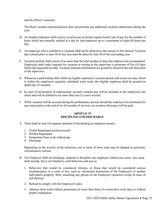and the officer's seniority.

The block vacation selection process does not preclude any additional vacation submissions during the year.

- D. An eligible employee shall receive vacation pay at his/her regular hourly rate of pay for the number of hours which are normally worked in a day by said employee up to a maximum of eight (8) hours per day.
- E. An employee who is entitled to a vacation shall not be allowed to take money in lieu thereof. Vacation days earned prior to June 30 of any year must be taken by June 30 of the succeeding year.
- F. Vacation periods shall consist of no more than the total number of days the employee has accumulated. Employees shall make requests for vacation in writing to the supervisor a minimum of five (5) days before the requested use date. Vacation amounts and duration are granted or denied at the sole discretion of the supervisor.
- G. Whenever a paid holiday falls within an eligible employee's vacation period, and occurs on a day which is within the employee's regularly scheduled work week, the eligible employee shall be granted an added day of vacation.
- H. In cases of termination of employment, accrued vacation pay will be included in the employee's last check and will be limited to not more than one (1) year's accrual.
- <span id="page-14-0"></span>I. While vacation will be accrued during the probationary period, should the employee be terminated for any reason prior to the end of six (6) months of services, no vacation allowance will be paid.

#### **ARTICLE 15 DISCIPLINE AND DISCHARGE**

- A. There shall be four (4) separate methods of disciplining an employee namely:
	- 1. Verbal Reprimand (written record)
	- 2. Written Reprimand
	- 3. Suspension from work without pay
	- 4. Discharge

Depending on the severity of the infraction, one or more of these steps may be skipped as particular circumstances warrant.

- B. The Employer shall not discharge, suspend or discipline any employee without just cause. Just cause shall include, but is not limited to, such behaviors and acts as:
	- 1. Behaviors that would be considered felonies, or those that would be considered serious misdemeanors, in a court of law, such as: intentional destruction of the Employer's or another individual's property, theft, assaulting any person on the Employer's premises except in cases of self-defense.
	- 2. Refusal to comply with the Employer's rules.
	- 3. Absence from work without permission for more than three (3) consecutive work days or without proper explanation.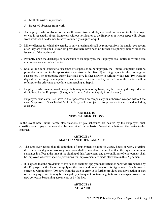- 4. Multiple written reprimands.
- 5. Repeated absences from work.
- C. An employee who is absent for three (3) consecutive work days without notification to the Employer or who is repeatedly absent from work without notification to the Employer or who is repeatedly absent from work shall be deemed to have voluntarily resigned or quit.
- D. Minor offenses for which the penalty is only a reprimand shall be removed from the employee's record after they are over one (1) year old provided there have been no further disciplinary actions since the issuance of the reprimand.
- E. Promptly upon the discharge or suspension of an employee, the Employer shall notify in writing said employee's steward of said action.
- F. Should the Union consider a discharge or suspension to be improper, the Union's complaint shall be presented in writing to the appropriate supervisor within five (5) working days after the discharge or suspension. The appropriate supervisor shall give his/her answer in writing within ten (10) working days after receiving the complaint. If said answer is not satisfactory to the Union, the matter shall be referred to the grievance procedure commencing at Step 2.
- G. Employees who are employed on a probationary or temporary basis, may be discharged, suspended, or disciplined by the Employer. (Paragraph F, hereof, shall not apply in such cases.)
- H. Employees who carry, use, have in their possession on campus any unauthorized weapon without the specific approval of the Chief of Public Safety, shall be subject to disciplinary action up to and including discharge.

#### **ARTICLE 16 NEW CLASSIFICATIONS**

<span id="page-15-0"></span>In the event new Public Safety classifications or pay schedules are desired by the Employer, such classifications or pay schedules shall be determined on the basis of negotiation between the parties to this contract.

#### **ARTICLE 17 MAINTENANCE OF STANDARDS**

- <span id="page-15-1"></span>A. The Employer agrees that all conditions of employment relating to wages, hours of work, overtime differentials and general working conditions shall be maintained at no less than the highest minimum standards in effect at the time of the signing of this Agreement, and the conditions of employment shall be improved wherever specific provisions for improvement are made elsewhere in this Agreement.
- <span id="page-15-2"></span>B. It is agreed that the provisions of this section shall not apply to inadvertent or bonafide errors made by the Employer or the Union in applying the terms and conditions of this Agreement if such error is corrected within ninety (90) days from the date of error. It is further provided that any section or part of existing Agreements may be changed by subsequent contract negotiations or changes provided in new collective bargaining agreements or by the law.

#### **ARTICLE 18 STEWARD**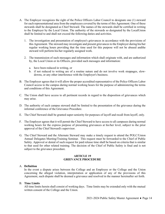- A. The Employer recognizes the right of the Police Officers Labor Council to designate one (1) steward for each representational area from the employees covered by the terms of this Agreement. One of these stewards shall be designated as Chief Steward. The names of the stewards shall be certified in writing to the Employer by the Local Union. The authority of the stewards so designated by the LocalUnion shall be limited to and shall not exceed the following duties and activities.
	- 1. The investigation and presentation of employee's grievances in accordance with the provisions of this Agreement. The steward may investigate and present grievances to the Employer during his/her regular working hours providing that the time used for this purpose will not be abused andthe steward will perform his/her regularly assigned work.
	- 2. The transmission of such messages and information which shall originate with, and are authorized by, the Local Union or its Officers, provided such messages and information:
		- a. have been reduced in writing, or
		- b. if not reduced to writing are of a routine nature and do not involve work stoppages, slowdowns, or any other interference with the Employer's business.
- B. The Employer agrees that it will allow the proper accredited representative of the Police Officers Labor Council access to the campus during normal working hours for the purpose of administering the terms and conditions of this Agreement.
- C. The Union shall have access to all pertinent records in regard to the disposition of grievances which may arise.
- D. The authority of each campus steward shall be limited to the presentation of the grievance during the informal conference of the Grievance Procedure.
- E. The Chief Steward shall be granted super-seniority for purposes of layoff and recall from layoff, only.
- F. The Employer agrees that it will permit the Chief Steward to have access to all campuses during normal working hours for the express purpose of presenting grievances at his/her level, subject to the prior approval of the Chief Steward's supervisor.
- G. The Chief Steward and the Alternate Steward may make a timely request to attend the POLC/Union Annual Delegates Meeting/Training Seminar. This request must be forwarded to the Chief of Public Safety. Approval or denial of such request for paid release time shall be based on criteria that is similar to that used for other related training. The decision of the Chief of Public Safety is final and is not subject to the grievance procedure.

#### **ARTICLE 19 GRIEVANCE PROCEDURE**

#### <span id="page-16-1"></span><span id="page-16-0"></span>A. **Definition**

In the event a dispute arises between the College and an Employee or the College and the Union concerning the alleged violation, interpretation or application of any of the provisions of this Agreement, such dispute shall be deemed a grievance and resolved in the manner hereinafter set forth.

#### <span id="page-16-2"></span>B. **Time Limits**

All time limits herein shall consist of working days. Time limits may be extended only with the mutual written consent of the College and the Union.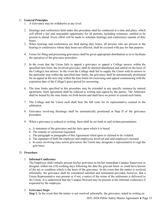#### <span id="page-17-0"></span>C. **General Principles**

- 1. A Grievance may be withdrawn at any level.
- 2. Hearings and conferences held under this procedure shall be conducted at a time and place, which will afford a fair and reasonable opportunity for all persons, including witnesses, entitled to be present to attend. Every effort will be made to schedule hearings and conferences outside of duty hours.
- 3. When hearings and conferences are held during duty hours, all persons who are present at the hearing or conferences whose duty hours are effected, shall be excused with pay for that purpose.
- 4. Forms for filing and processing grievances shall be given appropriate distribution so as to facilitate the operation of the grievance procedure.
- 5. In the event that the Union fails to appeal a grievance or appeal a College answer within the specified time limit, the involved grievance shall be deemed abandoned and settled on the basis of the College's last answer. In the event the College shall fail to supply the Union with its answer to the particular step within the specified time limits, the grievance shall be automatically positioned for an appeal at the next step within the time limits for exercising said appeal commencing with the expiration date of the College's grace period for answering.
- 6. The time limits specified in this procedure may be extended in any specific instance by mutual agreement. Such agreement shall be reduced to writing and signed by the parties. The Arbitrator shall be bound by the time limits set forth herein and shall have no power to extend such limits.
- 7. The College and the Union each shall bear the full costs for its representative counsel in the arbitration.
- 8. Grievance involving discharge shall be automatically positioned at Step II of the grievance procedure.
- 9. When a grievance is reduced to writing, there shall be set forth in said written presentation:
	- a. A statement of the grievance and the facts upon which it is based.
	- b. The remedy or correction requested.
	- c. The paragraph or paragraphs of this Agreement relied upon or claimed to be violated.
	- d. The signature of both the employee and employees involved and said employee's steward.
	- e. In cases involving class action grievances the Union may designate a representative to sign the grievance.

#### <span id="page-17-1"></span>D. **Procedure**

#### 1. **Informal Conference**

The Employee shall verbally present his/her grievance to his/her immediate Campus Supervisor or designee within ten (10) working days following the date the grievant knew or could have known of the act or condition which is the basis of the grievance. In the event that the matter is resolved informally, the grievance shall be considered satisfied and terminated provided, however, that a Union Representative was present or if not, a notice of the terms of the settlement is delivered to the Union. It is understood that the Campus Steward may be present at the informal conference if requested by the employee.

#### 2. **Grievance Steps**

**Step 1.** In the event that the matter is not resolved informally, the grievance, stated in writing on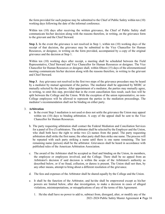the form provided for such purpose may be submitted to the Chief of Public Safety within ten (10) working days following the date of the informal conference.

Within ten (10) days after receiving the written grievance, the Chief of Public Safety shall communicate his/her decision along with the reasons therefore, in writing, on the grievance form to the grievant and the Chief Steward.

**Step 2.** In the event the grievance is not resolved in Step 1, within ten (10) working days of the receipt of that decision, the grievance may be submitted to the Vice Chancellor for Human Resources, or designee, in writing on the form provided, accompanied by a copy of the original grievance and the decision at Step 1.

Within ten (10) working days after receipt, a meeting shall be scheduled between the Field Representative, Chief Steward and Vice Chancellor for Human Resources or designee. The Vice Chancellor for Human Resources or designee shall, within fifteen (15) days of the aforementioned meeting communicate his/her decision along with the reasons therefore, in writing to the grievant and Chief Steward.

**Step 3**. Any grievance not resolved in the first two steps of the grievance procedure may be heard by a mediator by mutual agreement of the parties. The mediator shall be appointed by MERC or mutually selected by the parties. After appointment of a mediator, the parties may mutually agree, in writing, to omit this step, provided that in the event cancellation fees result, such fees will be split between the College and the Union. With the exception of the union representative, no non-College employees will be allowed to represent the parties in the mediation proceedings. The mediator's recommendation shall not be binding on either party.

#### 3. **Arbitration**

- a. In the event Step 3 mediation is not used or does not settle the grievance the Union may appeal within ten (10) days to binding arbitration. A copy of the appeal shall be sent to the Vice Chancellor for Human Resources.
- b. The party requesting arbitration shall contact the Federal Mediation and Conciliation Services for a panel of five (5) arbitrators. The arbitrator shall be selected by the Employer and the Union, who shall both have the right to strike two (2) names from the panel. The party requesting arbitration shall strike the first name; the other party shall then strike one name. The process will be repeated with each party striking a name until there is one name remaining. The last remaining name (person) shall be the arbitrator. Grievances shall be heard in accordance with published rules of the American Arbitration Association.
- c. The award of the Arbitrator shall be accepted as final and binding on the Union, its members, the employee or employees involved, and the College. There shall be no appeal from an Arbitrator's decision if said decision is within the scope of the Arbitrator's authority as described below, or if no fraud, collusion, or duress is present. The Union shall not then, by any other means, attempt to bring about a different resolution of the grievance.
- d. The fees and expenses of the Arbitrator shall be shared equally by the College and the Union.
- e. It shall be the function of the Arbitrator, and he/she shall be empowered except as his/her powers are limited below, after due investigation, to make a decision in cases of alleged violations, misinterpretations, or misapplications of any of the terms of this Agreement.
	- 2021-2024 Public Safety Master Agreement ♦ Page 16 1. He/she shall have no power to add to, subtract from, disregard, alter, or modify any of the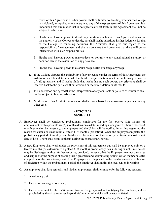terms of this Agreement. His/her powers shall be limited to deciding whether the College has violated, misapplied or misinterpreted any of the express terms of this Agreement. It is understood that any matter that is not specifically set forth in this Agreement shall not be subject to arbitration.

- 2. He/she shall have no power to decide any question which, under this Agreement, is within the authority of the College to decide, nor shall he/she substitute his/her judgment for that of the College. In rendering decisions, the Arbitrator shall give due regard to the responsibility of management and shall so construe the Agreement that there will be no interference with such responsibilities.
- 3. He/she shall have no power to make a decision contrary to any constitutional, statutory, or common law in the resolution of any grievance.
- 4. He/she shall have no power to establish wage scales or change any wage.
- f. If the College disputes the arbitrability of any grievance under the terms of this Agreement, the Arbitrator shall first determine whether he/she has jurisdiction to act before hearing the merits of said grievance, and if he/she finds that he/she has no such power, the grievance shall be referred back to the parties without decision or recommendation on its merits.
- g. It is understood and agreed that the interpretation of any contracts or policies of insurance shall not be subject to binding arbitration.
- h. No decision of an Arbitrator in one case shall create a basis for a retroactive adjustment in any other case.

#### **ARTICLE 20 SENIORITY**

- <span id="page-19-0"></span>A. Employees shall be considered probationary employees for the first twelve (12) months of employment, with a possible six  $(6)$  month extension as determined by management. Should thesix  $(6)$ month extension be necessary, the employee and the Union will be notified in writing regarding the reason for extension (maximum eighteen (18) months' probation). When the employeecompletes the probationary period of employment, he/she shall be entered on the seniority list from the most recent date of hire. There shall be no seniority during the probationary period.
- B. A new Employee shall work under the provisions of this Agreement but shall be employed only on a twelve months (or extension to eighteen (18) months) probationary basis, during which time he/she may be discharged without further recourse; provided, however, that the Employer may not discharge or discipline for the purpose of evading this Agreement or discriminating against Union members. After completion of the probationary period the Employee shall be placed on the regular seniority list.In case of discharge within the probationary period, the Employer shall notify the local Union in writing.
- C. An employee shall lose seniority and his/her employment shall terminate for the following reasons:
	- 1. A voluntary quit,
	- 2. He/she is discharged for cause,
	- 3. He/she is absent for three (3) consecutive working days without notifying the Employer, unless precluded by the circumstances beyond his/her control which shall be substantiated.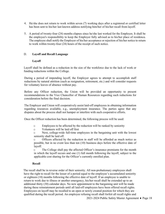- 4. He/she does not return to work within seven (7) working days after a registered or certified letter has been sent to his/her last known address notifying him/her of his/her recall from layoff.
- 5. A period of twenty-four (24) months elapses since he/she last worked for the Employer*.* It shall be the employee's responsibility to keep the Employer fully advised as to his/her place of residence*.* The employee shall notify the Employer of his/her acceptance or rejection of his/her notice to return to work within twenty-four (24) hours of the receipt of such notice.

#### D. **Layoff and Recall Language**

#### **Layoff**

Layoff shall be defined as a reduction in the size of the workforce due to the lack of work or funding reductions within the College.

During a period of impending layoff, the Employer agrees to attempt to accomplish staff reductions by natural attrition (such as resignation, retirement, etc.) and will consider requests for voluntary leaves of absence without pay.

Before any Officer reduction, the Union will be provided an opportunity to present recommendations to the Vice Chancellor of Human Resources regarding such reductions for consideration before the final decision.

The Employer and Union will cooperatively assist laid-off employees in obtaining information regarding resources available, e.g., unemployment insurance. The parties agree that any disputes about the process shall not hamper or interfere with such cooperative efforts.

Once the Officer reduction has been determined, the following process will be used:

- $\circ$  Employees to be affected by the reduction will be ranked by seniority  $\circ$  Volunteers will be laid off first
- Volunteers will be laid off first

o Next, college-wide full-time employees in the bargaining unit with the lowest seniority shall be laid off.

o Officers affected by the reduction in staff will be afforded as much notice as possible, but in no event less than ten (10) business days before the effective date of layoff.

o The College shall pay the affected Officer's insurance premiums for the month in which the layoff occurs and one (1) full month following the layoff, subject to the applicable cost sharing for the Officer's currently enrolled plan.

#### **Recall**

The recall shall be in reverse order of their seniority. All non-probationary employees shall have the right to recall for the lesser of a period equal to the employee's accumulated seniority or eighteen (18) months following the effective date of layoff. If an employee is unable to return to work due to illness or another emergency, his/her recall shall be extended up to an additional thirty (30) calendar days. No new appointment to the bargaining unit will be made during these reinstatement periods until all laid-off employees have been offered recall rights. Employees on layoff may be recalled to an open or newly created position for which they are qualified during the recall period. An employee refusing recall shall forfeit all recall rights and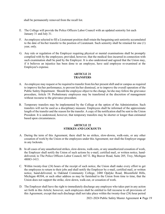shall be permanently removed from the recall list.

- E. The College will provide the Police Officers Labor Council with an updated seniority list each January 31 and July 31.
- F. An employee selected to fill a Lieutenant position shall retain the bargaining unit seniority accumulated to the date of his/her transfer to the position of Lieutenant. Such seniority shall be retained for one (1) year, only.
- G. Any rule or regulation of the Employer requiring physical or mental examinations shall be promptly complied with by the employees; provided, however, that the medical fees incurred in connection with such examination shall be paid by the Employer. It is also understood and agreed that the Union may, if it believes an injustice has been done to an employee, have said employee re-examined at the Employee's expense.

#### **ARTICLE 21 TRANSFERS**

- <span id="page-21-0"></span>A. An employee may request or be required to transfer from his/her presentshift and/or campus as required to improve his/her performance, to prevent his/her dismissal, or to improve the overall operation of the Public Safety Department. Should the employee object to the change, he/she may follow the grievance procedure, Article 19. Probationary employees may be transferred at the discretion of management without recourse to the grievance procedure.
- B. Temporary transfers may be implemented by the College at the option of the Administration. Such transfers will not be used as a disciplinary measure. Employees shall be informed of the approximate length of the transfer and the reason for the transfer. A copy of the notification shall be sent to the Union President. It is understood, however, that temporary transfers may be shorter or longer than estimated based upon circumstances.

#### **ARTICLE 22 STRIKES AND LOCKOUTS**

- <span id="page-21-1"></span>A. During the term of this Agreement, there shall be no strikes, slow-downs, walk-outs, or any other cessation of work by the Union or the employees under this Agreement; nor shall the Employer engage in any lockouts.
- B. In all cases of any unauthorized strikes, slow-downs, walk-outs, or any unauthorized cessation of work, the Employer shall notify the Union of such actions by e-mail, certified mail, or written notice, handdelivered, to The Police Officers Labor Council, 667 E. Big Beaver Road, Suite 205, Troy, Michigan 48083-1413.
- C. Within twenty-four (24) hours of the receipt of such notice, the Union shall make every effort to get the employees to return to their jobs and shall notify the Employer by e-mail, certified mail, or written notice, hand-delivered, to Oakland Community College, 2480 Opdyke Road, Bloomfield Hills, Michigan 48304, or such other address as may be furnished to the Union from time to time, that the Union does not support the strike, slow-down, walk-out, or cessation of work.
- D. The Employer shall have the right to immediately discharge any employee who takes part in any action set forth in this Article; however, such employees shall be entitled to full recourse to all provisions of this Agreement, except that such discharge shall not take place within the twenty-four (24) hour period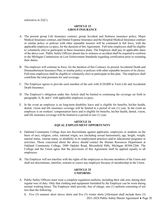<span id="page-22-0"></span>referred to in 22(C).

#### **ARTICLE 23 GROUP INSURANCE**

- A. The present group Life Insurance contract, group Accident and Sickness insurance policy, Major Medical Insurance contract, and Dental Expense Insurance and the Hospital-Medical Insurance contract or similar policy or policies with other reputable insurers will be continued in full force, with the applicable employee co-pays, for the duration of this Agreement. Full-time employees shall be eligible to voluntarily elect to participate in these insurance plans. The Employer shall pay its applicable share of the above cost. Public Safety Officers absent due to sickness or accident shall be required to conform to the Michigan Commission on Law Enforcement Standards regarding certification prior to resuming their duties.
- B. The employer will continue in force, for the duration of this Contract, its present Accidental Death and Dismemberment Insurance Plan, or similar policy or policies with other reputable insurers of its choice. Full-time employees shall be eligible to voluntarily elect to participate in this plan. The employee shall contribute the total premium for said coverage.
- C. The Employer agrees to provide each member of the unit with \$120,000 in Term Life and Accidental Death Insurance.
- D. The Employer's obligation under this Article shall be limited to continuing the coverage set forth in paragraphs A, B, and C with applicable employee co-pays.
- E. In the event an employee is on long-term disability leave and is eligible for benefits, his/her health, dental, vision and life insurance coverage will be limited to a period of one (1) year. In the event an employee is on workers' compensation leave and is eligible for benefits, his/her health, dental, vision, and life insurance coverage will be limited to a period of one (1) year.

#### **ARTICLE 24 EQUAL EMPLOYMENT OPPORTUNITY**

- <span id="page-22-1"></span>A. Oakland Community College does not discriminate against applicants, employees or students on the basis of race, religion, color, national origin, sex (including sexual harassment), age, height, weight, marital status, veteran status, or disability in its employment practices and/or educational programs or activities. Those concerned about the above should contact the Human Resources Department at Oakland Community College, 2480 Opdyke Road, Bloomfield Hills, Michigan 48304-2266. The College and the Union agree that the provisions of this Agreement shall be applied equally to all employees.
- <span id="page-22-2"></span>B. The Employer will not interfere with the rights of the employees to become members of the Union and shall not discriminate, interfere, restrain or coerce any employee because of membership in the Union.

#### **ARTICLE 25 UNIFORMS**

- A. Public Safety Officers must wear a complete regulation uniform, including their side arm, during their regular tour of duty. Only that clothing and equipment furnished by the Employer can be worn during normal working hours. The Employer shall provide, free of charge, one (1) uniform consisting of not less than the following:
	- **1.** Five (5) summer short sleeve shirts and five (5) winter shirts [Allotment shall include three (3)

2021-2024 Public Safety Master Agreement ♦ Page 20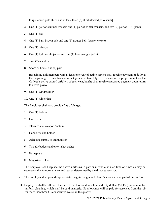long-sleeved polo shirts and at least three (3) short-sleeved polo shirts]

- **2.** One (1) pair of summer trousers one (1) pair of winter trousers, and two (2) pair of BDU pants
- **3.** One (1) hat
- **4.** One (1) Sam Brown belt and one (1) trouser belt, (basket weave)
- **5.** One (1) raincoat
- **6.** One (1) lightweight jacket and one (1) heavyweight jacket
- **7.** Two (2) neckties
- **8.** Shoes or boots, one (1) pair

Bargaining unit members with at least one year of active service shall receive payment of \$500 at the beginning of each fiscal/contract year effective July 1. If a current employee is not on the College's active payroll onJuly 1 of each year, he/she shall receive a prorated payment upon return to active payroll.

- **9.** One (1) windbreaker
- **10.** One (1) winter hat

The Employer shall also provide free of charge:

- 1. One (1) holster
- 2. One fire arm
- 3. Intermediate Weapon System
- 4. Handcuffs and holder
- 5. Adequate supply of ammunition
- 6. Two (2) badges and one (1) hat badge
- 7. Nameplate
- 8. Magazine Holder
- B. The Employer shall replace the above uniforms in part or in whole at such time or times as may be necessary, due to normal wear and tear as determined by the direct supervisor.
- C. The Employer shall provide appropriate insignia badges and identification cards as part of the uniform.
- D. Employees shall be allowed the sum of one thousand, one hundred fifty dollars (\$1,150) per annum for uniform cleaning, which shall be paid quarterly. No allowance will be paid for absences from the job for more than three (3) consecutive weeks in the quarter.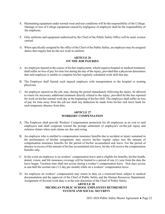- E. Maintaining equipment under normal wear and tear conditions will be the responsibility of the College. Damage or loss of College equipment caused by negligence of employee shall be the responsibility of the employee.
- F. Only uniforms and equipment authorized by the Chief of the Public Safety Office will be used, wornor carried.
- <span id="page-24-0"></span>G. When specifically assigned by the office of the Chief of the Public Safety, an employee may be assigned duties that require that he/she not work in uniform.

#### **ARTICLE 26 ON THE JOB INJURIES**

- A. An employee injured in the course of his/her employment, which requires hospital or medical treatment, shall suffer no loss of pay for time lost during the day of the injury, provided that a physician determines that said employee is unable to complete his/her regularly scheduled work shift that day.
- B. The Employer shall furnish such injured employee with transportation to the hospital or treating physician.
- C. An employee injured on the job, may, during the period immediately following the injury, be allowed to return for necessary additional treatment directly related to the injury, provided he/she has reported for work on his/her normal work day at the beginning of his/her shift. The employee shall suffer no loss of pay for time away from the job nor shall any deduction be made from his/her sick leave bank for such temporary absence from duty.

#### **ARTICLE 27 WORKERS' COMPENSATION**

- <span id="page-24-1"></span>A. The Employer shall provide Workers' Compensation protection for all employees at no cost to said employees and shall cooperate toward the prompt settlement of employee's on-the-job injury and sickness claims when such claims are due and owing.
- B. An employee who is entitled to compensation insurance benefits due to accident or injury sustained in the performance of his/her assignment, may receive his/her regular salary less the amount of compensation insurance benefits for the period of his/her accumulated sick leave. For the period of absence in excess of the amount of his/her accumulated sick leave, he/she will receive the compensation benefits only.
- C. In the event an employee is on workers' compensation leave and is eligible for benefits, his/her health, dental, vision, and life insurance coverage will be limited to a period of one (1) year from the date the leave began. Vacation time shall not accrue during a worker's compensation leave. Sick days accrue at one-half the normal rate (1/2 day per month) while on a workers' compensation leave.
- <span id="page-24-2"></span>D. An employee on workers' compensation may return to duty on a restricted basis subject to medical documentation and the approval of the Chief of Public Safety and the Human Resources Department. Assignment of favored work duty is at the sole discretion of the Chief of Public Safety.

#### **ARTICLE 28 MICHIGAN PUBLIC SCHOOL EMPLOYEES RETIREMENT SYSTEM AND SOCIAL SECURITY**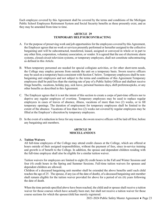Each employee covered by this Agreement shall be covered by the terms and conditions of the Michigan Public School Employees Retirement System and Social Security benefits as these presently exist, and as they may be amended from time to time.

#### **ARTICLE 29 TEMPORARY HELP/SUBCONTRACTING**

- <span id="page-25-0"></span>A. For the purpose of preserving work and job opportunities for the employees covered by this Agreement, the Employer agrees that no work or services presently performed or hereafter assigned to the collective bargaining unit will be subcontracted, transferred, leased, assigned or conveyed in whole or in part to any other firm, corporation, voluntary association, or vendor. It is agreed that the use of electronic alarm systems, closed-circuit television systems, or temporary employees, shall not constitute subcontracting as defined in this Article.
- B. When temporary personnel are needed for special collegiate activities, or for other short-term needs, the College may employ persons from outside the unit on a temporary basis. Sworn reserve officers may be used on a temporary basis consistent with Section C below. Temporary employees shall be nonbargaining unit employees and not subject to the terms and conditions of this Agreement.Temporary employees shall be paid less than the starting rate of pay of a Public Safety Officer and shallnot receive fringe benefits, vacations, holiday pay, sick leave, personal business days*,* shift preferencepicks, or any other benefits as described in this Agreement.
- C. The Employer agrees that it is not the intent of this section to create a corps of part-time officers nor to deprive any regular employee of overtime. Temporary employees may be used to replace regular employees in cases of leaves of absence, illness, vacations of more than two (2) weeks, or to fill temporary openings. The duration of employment for temporary employees shall be limited to the extent of the absence. Vacations of less than two (2) weeks not covered by regular employees may be filled at the Employer's discretion by temporary employees.
- <span id="page-25-1"></span>D. In the event of a reduction in force for any reason, the sworn reserve officers will be laid off first, before any bargaining unit members.

#### **ARTICLE 30 MISCELLANEOUS**

#### <span id="page-25-2"></span>A. **Tuition Waivers**

All full-time employees of the College may attend credit classes at the College, which are offered at hours outside of their assigned responsibilities, without the payment of fees, since in-service training and growth is of benefit to the College. In addition, the spouse and dependent children residing with the full-time employee shall also be eligible for a similar tuition waiver.

Tuition waivers for employees are limited to eight (8) credit hours in the Fall and Winter Sessions and four (4) credit hours in the Spring and Summer Sessions. Full-time tuition waivers for spouses and dependent children are allowed.

Children of a deceased bargaining unit member shall be extended the above benefits until such child reaches the age of 25. The spouse, if any (as of the date of death), of a deceased bargaining unit member shall remain eligible for the tuition waiver provided for above for a period of six (6) years following the date of death.

When the time periods specified above have been reached, the child and/or spouse shall receive a tuition waiver for those courses which have actually been met, but shall not receive a tuition waiver for those course sections for which the spouse/child has merely registered.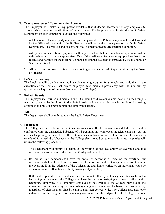#### <span id="page-26-0"></span>B. **Transportation and Communication Systems**

The Employer will make all equipment available that it deems necessary for any employee to accomplish whatever responsibilities he/she is assigned. The Employer shall furnish the Public Safety Department on each campus no less than the following:

- 1. A late model vehicle properly equipped and recognizable as a Public Safety vehicle as determined by the Office of the Chief of Public Safety. It shall be for the primary use of the Public Safety Department. This vehicle and its contents shall be maintained in safe operating condition.
- 2. Adequate communication equipment shall be provided so that each employee is provided with a radio while on duty, when appropriate. One of the walkie-talkies is to be equipped so that it can receive and transmit on the local police band per campus. (Subject to approval by local, county or State authorities.)
- 3. All purchases discussed in this Article are contingent upon approval of appropriations by the Board of Trustees.

#### <span id="page-26-1"></span>C. **In-Service Training**

The Employer will provide a required in-service training program for all employees to aid them in the execution of their duties. Each armed employee must maintain proficiency with the side arm by qualifying each quarter of the year (arranged by the College).

#### <span id="page-26-2"></span>D. **Bulletin Boards**

The Employer shall furnish and maintain one (1) bulletin board in a convenient location on each campus which may be used by the Union. Said bulletin boards shall be used exclusively by the Union for posting of notices and bulletins pertaining to the employee's affairs.

#### <span id="page-26-3"></span>E. **Title**

The Department shall be referred to as the Public Safety Department.

#### <span id="page-26-4"></span>F. **Lieutenant**

The College shall not schedule a Lieutenant to work alone. If a Lieutenant is scheduled to work and is confronted with the unscheduled absence of a bargaining unit employee, the Lieutenant may call in another bargaining unit member, call in a temporary employee, or work alone. When a Lieutenant is scheduled for a period of absence and the College elects to add bargaining unit hours, the parties will utilize the following procedure:

- 1. The Lieutenant will notify all campuses in writing of the availability of overtime and that acceptances must be returned within two (2) days of the notice;
- 2. Bargaining unit members shall have the option of accepting or rejecting the overtime, but acceptances shall be for at least four (4) hour blocks of time and the College may refuse to assign the overtime if, in the judgment of the College, the total hours worked by an individual would be excessive so as to affect his/her ability to carry out job duties;
- 3. If the entire period of the Lieutenant absence is not filled by voluntary acceptances from the bargaining unit members, the College shall have the option of assigning any time not filled with a temporary employee. If a temporary employee is not available, the College may assign the remaining time as mandatory overtime to bargaining unit members on the basis of inverse seniority regardless of classification, first by campus and then college-wide. The College may skip over individuals in the assignment of mandatory overtime if, in the judgment of the College, the total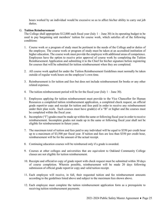hours worked by an individual would be excessive so as to affect his/her ability to carry out job duties.

#### <span id="page-27-0"></span>G. **Tuition Reimbursement**

The College shall appropriate  $$12,000$  each fiscal year (July 1 – June 30) in its operating budget to be used to pay bargaining unit members' tuition for course work, which satisfies all of the following conditions:

- 1. Course work or a program of study must be pertinent to the needs of the College and/or duties of the employee. The course work or program of study must be taken at an accredited institution of higher education. The course work must provide the employee with additional areas of competence. Employees have the option to receive prior approval of course work by completing the Tuition Reimbursement Application and submitting it to the Chief for his/her signature before registering for courses that will be submitted for tuition reimbursement when they are completed.
- 2. All course work applied for under the Tuition Reimbursement Guidelines must normally be taken outside of regular work hours on the employee's own time.
- 3. Reimbursement is for tuition and fees but does not include reimbursement for books or any other related expenses.
- 4. The tuition reimbursement period will be for the fiscal year (July  $1 -$  June 30).
- 5. Employees applying for tuition reimbursement must provide to the Vice Chancellor for Human Resources a completed tuition reimbursement application, a completed check request, an official grade report/or copy and receipt for tuition and fees paid in order to receive any reimbursement under their plan work. Such courses must have grade(s) of a "B" or higher and the courses must be completed within the fiscal year.
- 6. Incomplete ("I") grades must be made up within the same or following fiscal year in order to receive reimbursement. Incomplete grades not made up in the same or following fiscal year shall not be eligible for reimbursement in future years.
- 7. The maximum total of tuition and fees paid to any individual will be equal to \$350 per credit hour up to a maximum of \$3,500 per fiscal year. If tuition and fees are less than \$350 per credit hour, reimbursement will be for the amount of the actual receipt.
- 8. Continuing education courses will be reimbursed only if a grade is awarded.
- 9. Courses at other colleges and universities that are equivalent to Oakland Community College classes are not eligible for tuition reimbursement.
- 10. Receipts and official/or copy of grade report with check request must be submitted within 30 days of course completion. Wherein possible, reimbursement will be made 20 days following submission of official grade report/or copy and valid tuition receipt.
- 11. Each employee will receive, in full, their requested tuition and fee reimbursement amounts according to the guidelines listed above and subject to the maximum fees shown above.
- 12. Each employee must complete the tuition reimbursement application form as a prerequisite to receiving tuition reimbursement payments.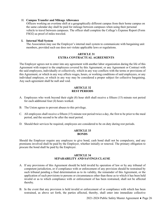#### <span id="page-28-0"></span>H. **Campus Transfer and Mileage Allowance**

Officers working an overtime shift at a geographically different campus from their home campus on the same calendar day shall be paid for mileage between campuses when using their personal vehicle to travel between campuses. The officer shall complete the College's Expense Report (Form FSO2) as proof of miles traveled.

#### <span id="page-28-1"></span>**I. Internal Mail System**

The Association may use the Employer's internal mail system to communicate with bargaining unit members, provided such use does not violate applicable laws or regulations.

#### **ARTICLE 31 EXTRA CONTRACTUAL AGREEMENTS**

<span id="page-28-2"></span>The Employer agrees not to enter into any agreement with another labor organization during the life of this Agreement with respect to the employees covered by this Agreement; or any Agreement or Contract with the said employees, individually or collectively, which in any way conflicts with the terms or provisions of this Agreement, or which in any way affects wages, hours, or working conditions of said employees, or any individual employee, or which in any way may be considered a proper subject for collective bargaining. Any such agreement shall be null and void.

#### **ARTICLE 32 REST PERIODS**

- <span id="page-28-3"></span>A. Employees who work beyond their eight (8) hour shift shall receive a fifteen (15) minute rest period for each additional four (4) hours worked.
- B. The Union agrees to prevent abuses to this privilege.
- C. All employees shall receive a fifteen (15) minute rest period twice a day, the first to be prior to the meal period, and the second to be after the meal period.
- <span id="page-28-4"></span>D. Should their services be required, employees are considered to be on duty during rest periods.

#### **ARTICLE 33 BONDS**

Should the Employer require any employee to give bond, cash bond shall not be compulsory, and any premiums involved shall be paid by the Employer, whether initially or renewal. The primary obligation to procure the bond shall be paid by the Employer.

#### **ARTICLE 34 SEPARABILITY AND SAVINGS CLAUSE**

- <span id="page-28-5"></span>A. If any provisions of this Agreement should be held invalid by operation of law or by any tribunal of competent jurisdiction, or if compliance with or enforcement of any provision should be restrained by such tribunal pending a final determination as to its validity, the remainder of this Agreement, or the application of such provisions to persons or circumstances other than those as to which it has been held invalid or as to which compliance with or enforcement of has been restrained, shall not be affected thereby.
- B. In the event that any provision is held invalid or enforcement of or compliance with which has been restrained, as above set forth, the parties affected, thereby, shall enter into immediate collective

2021-2024 Public Safety Master Agreement ♦ Page 26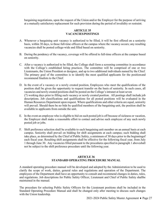bargaining negotiations, upon the request of the Union and/or the Employer for the purpose of arriving at a mutually satisfactory replacement for such provision during the period of invalidity or restraint.

#### **ARTICLE 35 VACANCIES/POSTINGS**

- <span id="page-29-0"></span>A. Whenever a bargaining unit vacancy is authorized to be filled, it will be first offered on a seniority basis, within 30 days, to those full-time officers at the campus where the vacancy occurs; any resulting vacancies shall be posted college-wide and filled based on seniority.
- B. During the pendency of the vacancy, coverage will be offered to full-time officers at the campus based on seniority.
- C. After a vacancy is authorized to be filled, the College shall form a screening committee in accordance with the College's established hiring practices. The committee will be comprised of one or two Lieutenants, the Union President or designee, and up to two additional individuals named by the Chief. The primary goal of the committee is to identify the most qualified applicants for the positionand recommend finalists to the Chief.
- D. In the event of a vacancy or a newly created position, Employees who meet the qualifications of the position shall be given the opportunity to request transfer on the basis of seniority. In such cases, all vacancies and newly created positions shall be posted on the College's intranet at least seven (7) working days prior to filling such vacancy or newly created position. All postings shall include job descriptions. Job classifications and qualifications for all posted positions will be evaluated in the Human Resources Department upon request. Where qualifications and other criteria are equal, seniority will prevail. Should there be no bids by qualified members of the bargaining unit, the position shall be available to applicants from outside the unit.
- E. In the event an employee who is eligible to bid on such posted job is off because of sickness or vacation, the Employer shall make a reasonable effort to contact and advise such employee of any such newly posted job or jobs.
- F. Shift preference selection shall be available to each bargaining unit member on an annual basis at each campus. Seniority shall prevail on bidding for shift assignments at each campus; such bidding shall take place, as determined by the Chief of Public Safety, a minimum of 30 days prior to the beginningof each fiscal year. Resulting shift assignments shall be effective for the following fiscal year, from July 1 through June 30. Any vacancies filled pursuant to the procedures specified in paragraph 1 aboveshall not be subject to the shift preference procedure until the following year.

#### **ARTICLE 36 STANDARD OPERATING PROCEDURE MANUAL**

<span id="page-29-1"></span>A standard operating procedure manual will be developed and adopted by the Administration to be used to clarify the scope of work, duties, general rules and regulations and operation of the Department. The employees of the Department shall have an opportunity to consult and recommend changes in duties, rules, and regulations. Job descriptions for Public Safety Officer, Lieutenant and Chief of Public Safety shallbe maintained in the manual.

The procedure for selecting Public Safety Officers for the Lieutenant positions shall be included in the Standard Operating Procedure Manual and shall be changed only after meeting to discuss such changes with the Union leadership.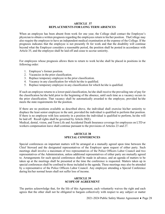#### **ARTICLE 37 REPLACEMENTS FOR LONG TERM ABSENCES**

<span id="page-30-0"></span>When an employee has been absent from work for one year, the College shall contact the Employee's physician to obtain a written prognosis regarding the employees return to his/her position. TheCollege may also require the employee to have an independent medical examination at the expense of the College. If the prognosis indicates that the employee is not presently fit for work and that the disability will continue beyond what the Employer considers a reasonable period, the position shall be posted in accordance with Article 35, and the employee shall be laid off and cease to accrue seniority.

For employees whose prognosis allows them to return to work he/she shall be placed in positions in the following order:

- 1. Employee's former position.
- 2. Vacancies in the prior classification.
- 3. Replace temporary employee in the prior classification.
- 4. Vacancy in any classification for which he/she is qualified.
- 5. Replace temporary employee in any classification for which he/she is qualified.

If such an employee returns to a lower-paid classification, he/she shall receive the prevailing rate of pay for the classification he/she held prior to the beginning of the absence, until such time as a vacancy occurs in the prior classification. That vacancy shall be automatically awarded to the employee, provided he/she meets the state requirements for the position.

If there are no positions available as described above, the individual shall exercise his/her seniority to displace the least senior employee in the unit, provided the individual is qualified to perform that position. If there is no employee with less seniority in a position the individual is qualified to perform, he/she will be laid off. Recall rights shall be governed by Article 20(E).

<span id="page-30-1"></span>Medical, dental, vision, and Term Life and Accidental Death Insurance coverage for employees on LTD or workers compensation leave shall continue pursuant to the provisions of Articles 23 and 27.

#### **ARTICLE 38 SPECIAL CONFERENCES**

Special conferences on important matters will be arranged at a mutually agreed upon time between the Chief Steward and the designated representatives of the Employer upon request of either party. Such meetings shall involve a maximum of two representatives of the Police Officers Labor Council and two representatives of the Administration, unless additional representatives of either party are mutually agreed to. Arrangements for such special conferences shall be made in advance, and an agenda of matters to be taken up at the meetings shall be presented at the time the conference is requested. Matters taken up in special conferences shall be confined to those included in the agenda. These meetings may also be attended by a representative of the Police Officers Labor Council. Any employee attending a Special Conference during his/her normal hours shall not suffer loss of income.

#### **ARTICLE 39 SCOPE OF AGREEMENT**

<span id="page-30-2"></span>The parties acknowledge that, for the life of this Agreement, each voluntarily waives the right and each agrees that the other shall not be obligated to bargain collectively with respect to any subject or matter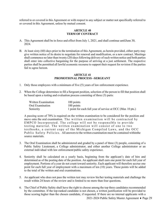<span id="page-31-0"></span>referred to or covered in this Agreement or with respect to any subject or matter not specifically referred to or covered in this Agreement, unless by mutual consent.

#### **ARTICLE 40 TERM OF CONTRACT**

- A. This Agreement shall be in force and effect from July 1, 2021, and shall continue untilJune 30, 2024.
- B. At least sixty (60) days prior to the termination of this Agreement, as herein provided, either party may give written notice of its desire to negotiate for renewal and modification, or a new contract. Meetings shall commence no later than twenty (20) days following delivery of such written notice and both parties shall enter into collective bargaining for the purpose of arriving at a just settlement. The respective parties shall be permitted all lawful economic recourse to support their request for revision if the parties fail to agree hereon.

#### **ARTICLE 41 PROMOTIONAL PROCESS –SERGEANT**

- <span id="page-31-1"></span>1. Only those employees with a minimum of five (5) years of law enforcement experience.
- 2. When the College determines to fill a Sergeant position, selection of the person to fill that position shall be based upon a testing and evaluation process consisting of three (3) parts:

| Written Examination | 100 points                                                 |
|---------------------|------------------------------------------------------------|
| Oral Examination    | 100 points                                                 |
| Seniority           | 1 point for each full year of service at OCC (Max 10 pts.) |

A passing score of 70% is required on the written examination to be considered for the position and move onto the oral examination. The written examination will be contracted by EMPCO Incorporated. The college will not be responsible to provide testing material. The written examination will consist of one to two textbooks, a current copy of the Michigan Compiled Laws, and the OCC Public Safety Policies. All answersto the written examination must be contained withinthe source materials.

- 3. The Oral Examination shall be administered and graded by a panel of three (3) people, consisting of a Public Safety Lieutenant, a College administrator, and either another College administrator or an external individual with law enforcement/public safety experience.
- 4. Seniority shall be calculated on a yearly basis, beginning from the applicant's date of hire and determined as of the posting date of the position. An applicant shall earn one point for each full year of employment. Portions of a year do not count toward seniority. Each applicant will therefore accrue one point for each full year of employment with a maximum of ten (10) years. These points will be added to the total of the written and oral examinations.
- 5. An applicant who does not pass the written test may review his/her testing materials and challenge the result within 24 hours of the review and is limited to no more than four questions.
- 2021-2024 Public Safety Master Agreement ♦ Page 29 6. The Chief of Public Safety shall have the right to choose among the top three candidates recommended by the committee. If the top-ranked candidate is not chosen, a written justification will be provided to those scoring higher than the chosen candidate, if requested. If there are no internal applicants with a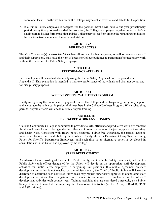score of at least 70 on the written exam, the College may select an external candidate to fill the position.

7. If a Public Safety employee is accepted for the position, he/she will have a one-year probationary period. Atany time prior to the end of the probation, the College or employee may determine that he/she shall return to his/her former position and the College may select from among the remaining candidates. Inthe alternative, a new search may be undertaken.

#### **ARTICLE 42 BUILDING ACCESS**

<span id="page-32-0"></span>The Vice Chancellor(s) or Associate Vice Chancellor(s) and his/her designees, as well as maintenance staff and their supervisors, shall have the right of access to College buildings to perform his/her necessary work without the presence of a Public Safety employee.

#### **ARTICLE 43 PERFORMANCE APPRAISAL**

<span id="page-32-1"></span>Each employee will be evaluated annually using the Public Safety Appraisal Form as provided in Appendix C. This evaluation is intended to improve performance of individuals and shall not be utilized for disciplinary purposes.

#### **ARTICLE 44 WELLNESS/PHYSICAL FITNESS PROGRAM**

<span id="page-32-2"></span>Jointly recognizing the importance of physical fitness, the College and the bargaining unit jointly support and encourage the active participation of all members in the College Wellness Program. When scheduling permits, bicycle officers will attend monthly bicycle training.

#### **ARTICLE 45 DRUG-FREE WORK ENVIRONMENT**

<span id="page-32-3"></span>Oakland Community College is committed to providing a safe, efficient and productive work environment for all employees. Using or being under the influence of drugs or alcohol on the job may pose serious safety and health risks. Consistent with Board policy requiring a drug-free workplace, the parties agree to incorporate by reference and abide by the Oakland County Sheriff's Department Drug Test Screening Policy for Sheriff's Department Employees, until such time as an alternative policy is developed in consultation with the Union and approved by the College.

#### **ARTICLE 46 STAFF DEVELOPMENT**

<span id="page-32-4"></span>An advisory team consisting of the Chief of Public Safety, one (1) Public Safety Lieutenant, and one (1) Public Safety unit officer designated by the Union will decide on the appropriate staff development activities for Public Safety employees in bargaining unit positions. If a mutual agreement on staff development activities is not reached by the advisory team, the Chief of Public Safety will have the discretion to determine such activities. Individuals may request supervisory approval to attend other staff development activities. Each bargaining unit member is encouraged to complete a number of staff development activities each contract year. Training activities that are considered a necessity as a Public Safety Officer will be included in acquiring Staff Development Activities (i.e. Fire Arms, CPR/AED, PPCT and ASR training).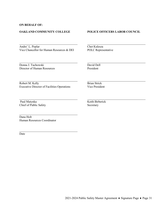#### <span id="page-33-0"></span>**ON BEHALF OF:**

#### **OAKLAND COMMUNITY COLLEGE POLICE OFFICERS LABOR COUNCIL**

Andre' L. Poplar Chet Kulesza Vice Chancellor for Human Resources & DEI POLC Representative

Donna J. Tuchowski David Dell

Director of Human Resources President

Robert M. Kelly<br>Executive Director of Facilities Operations<br>Wice President Executive Director of Facilities Operations

Paul Matynka Keith Birberick Chief of Public Safety Secretary

Dana Holt Human Resources Coordinator

Date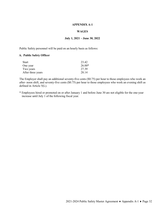#### **APPENDIX A-1**

#### **WAGES**

#### **July 1, 2021 – June 30, 2022**

<span id="page-34-0"></span>Public Safety personnel will be paid on an hourly basis as follows:

#### **A. Public Safety Officer**

| <b>Start</b>      | 23.42    |
|-------------------|----------|
| One year          | $26.00*$ |
| Two years         | 27.39    |
| After three years | 28.14    |

The Employer shall pay an additional seventy-five cents (\$0.75) per hour to those employees who work an after- noon shift, and seventy-five cents (\$0.75) per hour to those employees who work an evening shift as defined in Article 5(L).

\* Employees hired or promoted on or after January 1 and before June 30 are not eligible for the one-year increase until July 1 of the following fiscal year.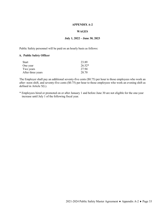#### **APPENDIX A-2**

#### **WAGES**

#### **July 1, 2022 – June 30, 2023**

<span id="page-35-0"></span>Public Safety personnel will be paid on an hourly basis as follows:

#### **A. Public Safety Officer**

| <b>Start</b>      | 23.89    |
|-------------------|----------|
| One year          | $26.52*$ |
| Two years         | 27.94    |
| After three years | 28.70    |

The Employer shall pay an additional seventy-five cents (\$0.75) per hour to those employees who work an after- noon shift, and seventy-five cents (\$0.75) per hour to those employees who work an evening shift as defined in Article 5(L).

\* Employees hired or promoted on or after January 1 and before June 30 are not eligible for the one-year increase until July 1 of the following fiscal year.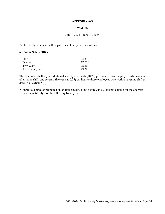#### **APPENDIX A-3**

#### **WAGES**

#### July 1, 2023 – June 30, 2024

<span id="page-36-0"></span>Public Safety personnel will be paid on an hourly basis as follows:

#### **A. Public Safety Officer**

| <b>Start</b>      | 24.37    |
|-------------------|----------|
| One year          | $27.05*$ |
| Two years         | 28.50    |
| After three years | 29.28    |

The Employer shall pay an additional seventy-five cents (\$0.75) per hour to those employees who work an after- noon shift, and seventy-five cents (\$0.75) per hour to those employees who work an evening shift as defined in Article 5(L).

\* Employees hired or promoted on or after January 1 and before June 30 are not eligible for the one year increase until July 1 of the following fiscal year.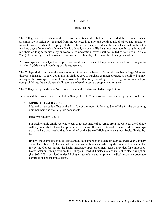#### **APPENDIX B**

#### **BENEFITS**

<span id="page-37-0"></span>The College shall pay its share of the costs for Benefits specified below. Benefits shall be terminated when an employee is officially separated from the College; is totally and continuously disabled and unable to return to work; or when the employee fails to return from an approved health or sick leave within three (3) working days after end of such leave. Health, dental, vision and life insurance coverage for bargaining unit members on long-term disability or workers' compensation leaves shall be limited as set forth in Article 23(E). All coverage listed below shall commence the first day of the month following date of hire.

All coverage shall be subject to the provisions and requirements of the policies and shall not be subject to Article 19 (Grievance Procedure) of this Agreement.

The College shall contribute the same amount of dollars for benefits for employees beyond age 70 as for those less than age 70. Such dollar amount shall be used to purchase as much coverage as possible, but may not equal the coverage provided for employees less than 65 years of age. If coverage is not available,or cost-prohibitive, the employees shall receive the benefit cost as a supplement to salary.

The College will provide benefits in compliance with all state and federal regulations.

<span id="page-37-1"></span>Benefits will be provided under the Public Safety Flexible Compensation Program (see program booklet).

#### **1. MEDICAL INSURANCE**

Medical coverage is effective the first day of the month following date of hire for the bargaining unit members and their eligible dependents.

Effective January 1, 2016:

For each eligible employee who elects to receive medical coverage from the College, the College will pay monthly for the actual premium cost and/or illustrated rate cost for such medical coverage up to the hard cap threshold as determined by the State of Michigan on an annual basis, divided by 12.

By law, these amounts are subject to annual adjustment by the State for each calendar year (January 1st – December 31<sup>st</sup>). The annual hard cap amounts as established by the State will be accounted for by the College during the health insurance open enrollment period provided for employees. Notwithstanding this provision, the College's Board of Trustees retains its right to elect any option (i.e. 80%/20%) provided under Michigan law relative to employer medical insurance coverage contributions on an annual basis.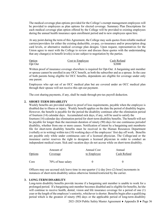The medical coverage plan options provided for the College's exempt management employees will be provided to employees as plan options for elected coverage. Summary Plan Descriptions for each medical coverage plan option offered by the College will be provided to existing employees during the annual health insurance open enrollment period and to new employees upon hire.

At any point during the term of this Agreement, the College may seek quotes from reliable medical carriers/providers for either the existing deductible, co-pay, co-insurance and/or prescription drug card levels, or alternative medical coverage plan designs. Upon request, representatives for the Union agree to meet with the College to review and discuss these quotes with the understanding that any change(s) in benefit level(s) is/are subject to negotiation by the parties.

| Option  | Cost to Employee | Cash Refund |
|---------|------------------|-------------|
| Opt Out |                  | \$2000      |

Written proof of insurance coverage elsewhere is required for Opt-Out. A bargaining unit member or spouse cannot be enrolled in any OCC benefit, as both the subscriber and as a spouse. In the case of both parents being eligible for OCC benefits, dependents are eligible for coverage under only one parent.

Employees who opt out of an OCC medical plan but are covered under an OCC medical plan through their spouse will not receive this opt-out payment.

The cost sharing payments, if any, shall be made through pre-tax payroll deduction.

#### <span id="page-38-0"></span>**2. SHORT-TERM DISABILITY**

Weekly benefits are provided subject to proof of loss requirements, payable when the employee is disabled due to illness or injury. Weekly benefit applies on the date the period of disability begins. However, the benefit is payable for the period the disability continues after the elimination period of fourteen (14) calendar days. Accumulated sick days, if any, will be used to satisfy the fourteen (14) calendar day elimination period for short-term disability benefits. The benefit will not

be payable for longer than the maximum duration of ninety (90) days for one continuous periodof disability, whether from one or more causes. Notification of intent by a bargaining unit memberto file for short-term disability benefits must be received in the Human Resources Department (verbally or in writing) within ten (10) working days of the employees' first day off work. Benefits are payable only while under continuous care of a licensed physician. The College/and or the insurance carrier reserves the right to designate a licensed physician in order to conduct an independent medical exam. Sick and vacation days do not accrue while on short-term disability.

|         | Amount of          | Annual Cost | Annual      |
|---------|--------------------|-------------|-------------|
| Options | Coverage           | to Employee | Cash Refund |
| Core    | 70% of base salary |             |             |

Officers may use accrued sick leave time in one-quarter  $\frac{1}{4}$  day [two (2) hour] increments in instances of short-term disability unless otherwise limited/restricted by the carrier.

#### <span id="page-38-1"></span>**3. LONG-TERM DISABILITY**

Long-term disability benefits provide income if a bargaining unit member is unable to work for a prolonged period. If a bargaining unit member becomes disabled and is eligible for benefits, he/she will continue to receive health, dental, vision and life insurance coverage for a period of one (1) year or the length of the employee's seniority, whichever isshorter. Benefits begin after a qualifying period which is the greatest of ninety (90) days or the applicable period of long-term disability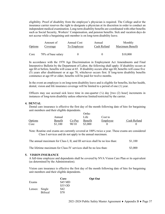eligibility. Proof of disability from the employee's physician is required. The College and/or the insurance carrier reserves the right to designate a physician at its discretion in order to conduct an independent medical examination. Long-term disability benefits are coordinated with other benefits such as Social Security, Workers' Compensation, and pension benefits. Sick and vacation days do not accrue while a bargaining unit member is on long-term disability leave.

|         | Amount of          | Annual Cost | Annual       | Monthly         |
|---------|--------------------|-------------|--------------|-----------------|
| Options | Coverage           | To Employee | Cash Refund  | Maximum Benefit |
| Core    | 70% of base salary |             | $\mathbf{u}$ | \$10,000        |

In accordance with the 1978 Age Discrimination in Employment Act Amendments and Final Interpretive Bulletin by the Department of Labor, the following shall apply: If disability occurs at age 60 or before, benefits will cease at 65. If disability occurs after age 60, benefits will cease five (5) years after disablement or at age 70, whichever occurs first. If long-term disability benefits commence at age 69 or older, benefits will be paid for twelve months.

In the event an employee is on long-term disability leave and is eligible for benefits, his/her health, dental, vision and life insurance coverage will be limited to a period of one (1) year.

Officers may use accrued sick leave time in one-quarter  $(\frac{1}{4})$  day [two (2) hour] increments in instances of long-term disability unless otherwise limited/restricted by the carrier.

#### <span id="page-39-0"></span>**4. DENTAL**

Dental care insurance is effective the first day of the month following date of hire for bargaining unit members and their eligible dependents.

|         |         |          | Ortho   |          |             |
|---------|---------|----------|---------|----------|-------------|
|         | Annual  |          | Life    | Cost to  |             |
| Options | Benefit | $Co-Pav$ | Benefit | Employee | Cash Refund |
| Core    | \$1,100 | 90/10    | \$3,000 |          |             |

Note: Routine oral exams are currently covered at 100% twice a year. These exams are considered Class I services and do not apply to the annual maximum.

| The annual maximum for Class I, II, and III services shall be no less than: | \$1,100 |
|-----------------------------------------------------------------------------|---------|
| The lifetime maximum for Class IV services shall be no less than:           | \$3,000 |

#### <span id="page-39-1"></span>**5. VISION INSURANCE**

A full-time employee and dependents shall be covered by NVA Vision Care Plan or its equivalent (as determined by the Administration).

Vision care insurance is effective the first day of the month following date of hire for bargaining unit members and their eligible dependents.

|                |                | Core    | <b>Opt Out</b> |
|----------------|----------------|---------|----------------|
| Exams          |                | \$45 MD |                |
|                |                | \$35 OD |                |
| Lenses: Single |                | \$42    |                |
|                | <b>Bifocal</b> | \$70    |                |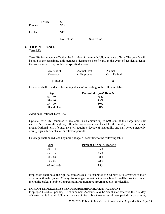| Trifocal<br>Frames | \$84<br>\$55 |             |
|--------------------|--------------|-------------|
| Contacts           | \$125        |             |
|                    | No Refund    | \$24 refund |

### <span id="page-40-0"></span>**6. LIFE INSURANCE**

Term Life

Term life insurance is effective the first day of the month following date of hire. The benefit will be paid to the bargaining unit member's designated beneficiary. In the event of accidental death, the insurance will pay double the specified amount.

| Amount of       | Annual Cost | Annual      |
|-----------------|-------------|-------------|
| <u>Coverage</u> | to Employee | Cash Refund |
| \$120,000       |             |             |

Coverage shall be reduced beginning at age 65 according to the following table:

| <u>Age</u>   | <b>Percent of Age 65 Benefit</b> |
|--------------|----------------------------------|
| $65 - 69$    | 65%                              |
| $70 - 74$    | 45%                              |
| $75 - 79$    | 30%                              |
| 80 and older | 20%                              |

#### Additional Optional Term Life

Optional term life insurance is available in an amount up to \$500,000 at the bargaining unit member's expense through payroll deduction at rates established for the employee's specific age group. Optional term life insurance will require evidence of insurability and may be obtained only during regularly established enrollment periods.

Coverage shall be reduced beginning at age 70 according to the following table:

| <u>Age</u>   | <b>Percent of Age 70 Benefit</b> |
|--------------|----------------------------------|
| $70 - 74$    | 65%                              |
| $75 - 79$    | 45%                              |
| $80 - 84$    | 30%                              |
| $85 - 89$    | 20 <sup>%</sup>                  |
| 90 and older | 15%                              |

Employees shall have the right to convert such life insurance to Ordinary Life Coverage at their expense within thirty-one (31) days following termination. Optional benefits will be provided under the Public Safety Flexible Compensation Program (see program booklet for details).

#### <span id="page-40-1"></span>**7. EMPLOYEE FLEXIBLE SPENDING/REIMBURSEMENT ACCOUNT**

Employee Flexible Spending/Reimbursement Accounts may be established effective the first day of the second full month following the date of hire, subject to open enrollment periods. A bargaining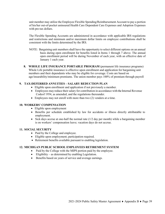unit member may utilize the Employee Flexible Spending/Reimbursement Account to pay a portion of his/her out-of-pocket uninsured Health Care Dependent Care Expenses and Adoption Expenses with pre-tax dollars.

The Flexible Spending Accounts are administered in accordance with applicable IRS regulations and restrictions and minimum and/or maximum dollar limits on employee contributions shall be consistent with the limits determined by the IRS.

- NOTE: Bargaining unit members shall have the opportunity to select different options on an annual basis during open enrollment for benefits listed in Items 1 through 7 above. The annual open enrollment period will be during November of each year, with an effective date of January 1 each year.
- <span id="page-41-0"></span>**8. WHOLE LIFE INSURANCE PORTABLE PROGRAM** (permanent life insurance programs) Whole Life portable insurance is effective upon enrollment and application for bargaining unit members and their dependents who may be eligible for coverage. Costs are based on age/insurability/minimum premiums. The union member pays 100% of premium through payroll

#### <span id="page-41-1"></span>**9. TAX-DEFERRED ANNUITIES – SALARY REDUCTION PLAN**

- Eligible upon enrollment and application if not previously a member.
- Employees may reduce their salary for contribution in accordance with the Internal Revenue Codeof 1954, as amended, and the regulations thereunder.
- Employees may not enroll with more than two (2) vendors at a time.

#### <span id="page-41-2"></span>**10. WORKERS' COMPENSATION**

- Eligible upon employment
- Benefits per schedule established by law for accidents or illness directly attributable to employment.
- Sick days accrue at one-half the normal rate (1/2 day per month) while a bargaining member is on workers' compensation leave; vacation days do not accrue.

#### <span id="page-41-3"></span>**11. SOCIAL SECURITY**

- Paid by the College and employee.
- Eligible upon employment; participation required.
- Retirement benefits available pursuant to enabling legislation.

#### <span id="page-41-4"></span>**12. MICHIGAN PUBLIC SCHOOL EMPLOYEES RETIREMENT SYSTEM**

- Paid by the College with the MIPS portion paid by the employee.
- Eligibility as determined by enabling Legislation.
- Benefits based on years of service and average earnings.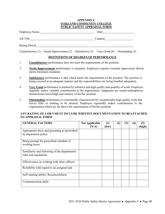#### **APPENDIX C OAKLAND COMMUNITY COLLEGE PUBLIC SAFETY APPRAISAL FORM**

<span id="page-42-0"></span>Employee Name Date Date

Job Title Campus Campus Campus Campus Campus Campus Campus Campus Campus Campus Campus Campus Campus Campus Campus Campus Campus Campus Campus Campus Campus Campus Campus Campus Campus Campus Campus Campus Campus Campus Ca

Rating Period

Unsatisfactory (1) Needs Improvement (2) Satisfactory (3) Very Good (4) Outstanding (5)

#### **DEFINITIONS OF DEGREES OF PERFORMANCE**

- 1. **Unsatisfactory** performance does not meet the requirements of the position.
- 2. **Needs Improvement** performance is marginal. Employee requires constant supervision. Barely meets minimum standards.
- 3. **Satisfactory** performance is that which meets the requirements of the position. The position is being covered in an adequate manner and the responsibilities are being handled adequately.
- 4. **Very Good** performance is marked by initiative and high quality and quantity of work. Employee regularly makes valuable contributions to the organization. Judgments are sound andemployee demonstrates knowledge and mastery of his/her position.
- 5. **Outstanding** performance is consistently characterized by exceptionally high quality work that leaves little or nothing to be desired. Employee repeatedly makes contributions to the organization which are far above the requirements of his/her position.

#### **ANY RATING OF 1 OR 5 MUST INCLUDE WRITTEN DOCUMENTATION TO BEATTACHED TO APPRAISAL FORM**

| <b>GENERAL FACTORS</b>                                                 | <b>Not Applicable</b><br>(N/A) | (1)<br>(low) | (2) | (3) | (4) | (5)<br>(high) |
|------------------------------------------------------------------------|--------------------------------|--------------|-----|-----|-----|---------------|
| Appropriate dress and grooming as prescribed<br>by department policy   |                                |              |     |     |     |               |
| Being prompt for prescribed schedule of<br>working hours               |                                |              |     |     |     |               |
| Familiarity and following of the department's<br>rules and regulations |                                |              |     |     |     |               |
| Effectiveness in working with other officers                           |                                |              |     |     |     |               |
| Reliability with regard to an assigned task                            |                                |              |     |     |     |               |
| Self-starting ability; Resourcefulness                                 |                                |              |     |     |     |               |
| Communication skills                                                   |                                |              |     |     |     |               |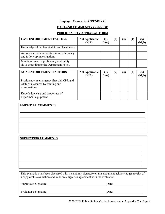#### **Employee Comments APPENDIX C**

#### **OAKLAND COMMUNITY COLLEGE**

#### **PUBLIC SAFETY APPRAISAL FORM**

| <b>LAW ENFORCEMENT FACTORS</b>                                                        | <b>Not Applicable</b><br>(N/A) | (1)<br>(low) | (2) | $\bf(4)$ | (5)<br>(high) |
|---------------------------------------------------------------------------------------|--------------------------------|--------------|-----|----------|---------------|
| Knowledge of the law at state and local levels                                        |                                |              |     |          |               |
| Actions and capabilities taken in preliminary<br>and follow-up investigations         |                                |              |     |          |               |
| Maintain firearms proficiency and safety<br>skills according to the Department Policy |                                |              |     |          |               |

| <b>NON-ENFORCEMENT FACTORS</b>                                                                 | <b>Not Applicable</b><br>(N/A) | (1)<br>(low) | $\bf(2)$ | (3) | $\left( 4\right)$ | (5)<br>(high) |
|------------------------------------------------------------------------------------------------|--------------------------------|--------------|----------|-----|-------------------|---------------|
| Proficiency in emergency first-aid, CPR and<br>AED as measured by training and<br>examinations |                                |              |          |     |                   |               |
| Knowledge, care and proper use of<br>department equipment                                      |                                |              |          |     |                   |               |

# **EMPLOYEE COMMENTS**

#### **SUPERVISOR COMMENTS**

This evaluation has been discussed with me and my signature on this document acknowledges receipt of a copy of this evaluation and in no way signifies agreement with the evaluation.

| Employee's Signature: | Date: |
|-----------------------|-------|
| Evaluator's Signature | Date: |

2021-2024 Public Safety Master Agreement ♦ Appendix C ♦ Page 41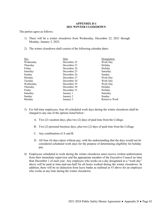#### **APPENDIX D-1 2021 WINTER CLOSEDOWN**

<span id="page-44-0"></span>The parties agree as follows:

- 1) There will be a winter closedown from Wednesday, December 22, 2021 through Monday, January 3, 2022.
- 2) The winter closedown shall consist of the following calendar dates:

| Date        | Designation    |
|-------------|----------------|
| December 22 | Work Day       |
| December 23 | Holiday        |
| December 24 | Holiday        |
| December 25 | Saturday       |
| December 26 | Sunday         |
| December 27 | Work Day       |
| December 28 | Work Day       |
| December 29 | Work Day       |
| December 30 | Holiday        |
| December 31 | Holiday        |
| January 1   | Saturday       |
| January 2   | Sunday         |
| January 3   | Return to Work |
|             |                |

- 3) For full-time employees, four (4) scheduled work days during the winter closedown shall be charged to any one of the options listed below:
	- A. Two (2) vacation days, plus two (2) days of paid time from the College.
	- B. Two (2) personal business days, plus two (2) days of paid time from the College.
	- C. Any combination of A and B.
	- D. All four (4) days taken without pay, with the understanding that the days would not be considered scheduled work days for the purpose of determining eligibility for holiday pay.
- 4) Employees scheduled to work during the winter closedown must receive written authorization from their immediate supervisor and the appropriate member of the Executive Council no later than December 1 of each year. Any employee who works on a day designated as a "work day" above will be paid at time-and-one-half for all hours worked during the winter closedown. In addition, there will be no deduction from leave banks as outlined in #3 above for an employee who works at any time during the winter closedown.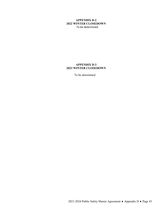#### <span id="page-45-0"></span>**APPENDIX D-2 2022 WINTER CLOSEDOWN** To be determined

#### <span id="page-45-1"></span>**APPENDIX D-3 2023 WINTER CLOSEDOWN**

To be determined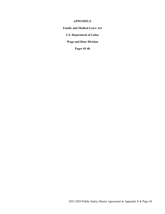#### **APPENDIX E**

<span id="page-46-0"></span>**Family and Medical Leave Act**

**U.S. Department of Labor**

**Wage and Hour Division**

**Pages 45-48**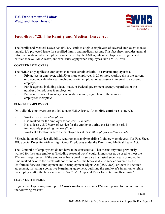

## **Fact Sheet #28: The Family and Medical Leave Act**

The Family and Medical Leave Act (FMLA) entitles eligible employees of covered employers to take unpaid, job-protected leave for specified family and medical reasons. This fact sheet provides general information about which employers are covered by the FMLA, when employees are eligible and entitled to take FMLA leave, and what rules apply when employees take FMLA leave.

#### <span id="page-47-0"></span>**COVERED EMPLOYERS**

The FMLA only applies to employers that meet certain criteria. A **covered employer** is a:

- Private-sector employer, with 50 or more employees in 20 or more workweeks in the current or preceding calendar year, including a joint employer or successor in interest to a covered employer;
- Public agency, including a local, state, or Federal government agency, regardless of the number of employees it employs; or
- Public or private elementary or secondary school, regardless of the number of employees it employs.

#### <span id="page-47-1"></span>**ELIGIBLE EMPLOYEES**

Only eligible employees are entitled to take FMLA leave. An **eligible employee** is one who:

- Works for a *covered employer*;
- Has worked for the employer for at least *12 months*;
- Has at least *1,250 hours* of service for the employer during the 12 month period immediately preceding the leave\*; and
- Works at a location where the employer has at least *50 employees within 75 miles*.

\* Special hours of service eligibility requirements apply to airline flight crew employees. *See* Fact [Sheet](http://www.dol.gov/whd/regs/compliance/whdfs28j.htm) 28J: Special Rules for Airline Flight Crew [Employees](http://www.dol.gov/whd/regs/compliance/whdfs28j.htm) under the Family and Medical Leave Act.

The 12 months of employment do not have to be consecutive. That means any time previously worked for the same employer (including seasonal work) could, in most cases, be used to meet the 12-month requirement. If the employee has a break in service that lasted seven years or more, the time worked prior to the break will not count *unless* the break is due to service covered by the Uniformed Services Employment and Reemployment Rights Act (USERRA), or there is a written agreement, including a collective bargaining agreement, outlining the employer's intention to rehire the employee after the break in service. *See* "FMLA Special Rules [for Returning](http://www.dol.gov/whd/fmla/userra.htm) Reservists".

#### <span id="page-47-2"></span>**LEAVE ENTITLEMENT**

Eligible employees may take up to **12 work weeks** of leave in a 12-month period for one or more of the following reasons:

FS 28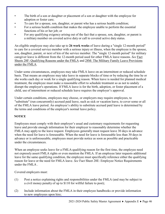- The birth of a son or daughter or placement of a son or daughter with the employee for adoption or foster care;
- To care for a spouse, son, daughter, or parent who has a serious health condition;
- For a serious health condition that makes the employee unable to perform the essential functions of his or her job; or
- For any qualifying exigency arising out of the fact that a spouse, son, daughter, or parent is a military member on covered active duty or call to covered active duty status.

An eligible employee may also take up to **26 work weeks** of leave during a "single 12-month period" to care for a covered service member with a serious injury or illness, when the employee is the spouse, son, daughter, parent, or next of kin of the service member. The "single 12-month period" for military caregiver leave is different from the 12-month period used for other FMLA leave reasons. *See* [Fact](http://www.dol.gov/whd/regs/compliance/whdfs28f.htm) [Sheets 28F: Qualifying Reasons under the FMLA](http://www.dol.gov/whd/regs/compliance/whdfs28f.htm) and [28M: The Military Family Leave Provisions](http://www.dol.gov/whd/regs/compliance/whdfs28m.htm) under the [FMLA.](http://www.dol.gov/whd/regs/compliance/whdfs28m.htm)

Under some circumstances, employees may take FMLA leave on an intermittent or reduced schedule basis. That means an employee may take leave in separate blocks of time or by reducing the time he or she works each day or week for a single qualifying reason. When leave is needed for planned medical treatment, the employee must make a reasonable effort to schedule treatment so as not to unduly disrupt the employer's operations. If FMLA leave is for the birth, adoption, or foster placement of a child, use of intermittent or reduced schedule leave requires the employer's approval.

Under certain conditions, employees may choose, or employers may require employees, to "substitute" (run concurrently) accrued paid leave, such as sick or vacation leave, to cover some or all of the FMLA leave period. An employee's ability to substitute accrued paid leave is determined by the terms and conditions of the employer's normal leave policy.

#### <span id="page-48-0"></span>**NOTICE**

Employees must comply with their employer's usual and customary requirements for requesting leave and provide enough information for their employer to reasonably determine whether the FMLA may apply to the leave request. Employees generally must request leave 30 days in advance when the need for leave is foreseeable. When the need for leave is foreseeable less than 30 days in advance or is unforeseeable, employees must provide notice as soon as possible and practicable under the circumstances.

When an employee seeks leave for a FMLA-qualifying reason for the first time, the employee need not expressly assert FMLA rights or even mention the FMLA. If an employee later requests additional leave for the same qualifying condition, the employee must specifically reference either the qualifying reason for leave or the need for FMLA leave. *See* [Fact Sheet 28E: Employee Notice Requirements](http://www.dol.gov/whd/regs/compliance/whdfs28e.htm) [under](http://www.dol.gov/whd/regs/compliance/whdfs28e.htm) the [FMLA](http://www.dol.gov/whd/regs/compliance/whdfs28e.htm) .

Covered employers must:

- (1) Post a notice explaining rights and responsibilities under the FMLA (and may be subject to a civil money penalty of up to \$110 for willful failure to post);
- (2) Include information about the FMLA in their employee handbooks or provide information to new employees upon hire;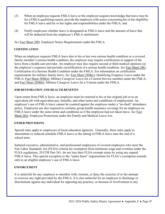- (3) When an employee requests FMLA leave or the employer acquires knowledge that leave may be for a FMLA-qualifying reason, provide the employee with notice concerning his or her eligibility for FMLA leave and his or her rights and responsibilities under the FMLA; and
- (4) Notify employees whether leave is designated as FMLA leave and the amount of leave that will be deducted from the employee's FMLA entitlement.

*See* Fact Sheet 28D: Employer Notice [Requirements](http://www.dol.gov/whd/regs/compliance/whdfs28d.htm) under the FMLA.

#### <span id="page-49-0"></span>**CERTIFICATION**

When an employee requests FMLA leave due to his or her own serious health condition or a covered family member's serious health condition, the employer may require certification in support of the leave from a health care provider. An employer may also require second or third medical opinions (at the employer's expense) and periodic recertification of a serious health condition. *See* Fact [Sheet](http://www.dol.gov/whd/regs/compliance/whdfs28g.htm) 28G: Certification of a Serious Health Condition under the FMLA. For information on certification requirements for military family leave, *See* [Fact Sheet 28M\(c\):](http://www.dol.gov/whd/regs/compliance/whdfs28mc.htm) Qualifying Exigency Leave under the FMLA; Fact Sheet [28M\(a\):](http://www.dol.gov/whd/regs/compliance/whdfs28ma.htm) Military Caregiver Leave for a Current Service member under the FMLA; and Fact [Sheet 28M\(b\):](http://www.dol.gov/whd/regs/compliance/whdfs28mb.htm) Military Caregiver Leave for a Veteran under the FMLA.

#### <span id="page-49-1"></span>**JOB RESTORATION AND HEALTH BENEFITS**

Upon return from FMLA leave, an employee must be restored to his or her original job or to an equivalent job with equivalent pay, benefits, and other terms and conditions of employment. An employee's use of FMLA leave cannot be counted against the employee under a "no-fault" attendance policy. Employers are also required to continue group health insurance coverage for an employee on FMLA leave under the same terms and conditions as if the employee had not taken leave. *See* [Fact](http://www.dol.gov/whd/regs/compliance/whdfs28a.htm) [Sheet](http://www.dol.gov/whd/regs/compliance/whdfs28a.htm) 28A: Employee [Protections under](http://www.dol.gov/whd/regs/compliance/whdfs28a.htm) the Family and Medical Leave Act.

#### <span id="page-49-2"></span>**OTHER PROVISIONS**

Special rules apply to employees of local education agencies. Generally, these rules apply to intermittent or reduced schedule FMLA leave or the taking of FMLA leave near the end of a school term.

Salaried executive, administrative, and professional employees of covered employers who meet the Fair Labor Standards Act (FLSA) criteria for exemption from minimum wage and overtime under the FLSA regulations, 29 CFR Part 541, do not lose their FLSA-exempt status by using any unpaid FMLA leave. This special exception to the "salary basis" requirements for FLSA's exemption extends only to an eligible employee's use of FMLA leave.

#### <span id="page-49-3"></span>**ENFORCEMENT**

It is unlawful for any employer to interfere with, restrain, or deny the exercise of or the attempt to exercise any right provided by the FMLA. It is also unlawful for an employer to discharge or discriminate against any individual for opposing any practice, or because of involvement in any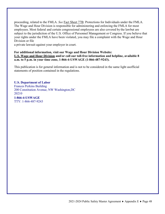proceeding, related to the FMLA. *See* [Fact Sheet 77B: Protections for Individuals under the](http://www.dol.gov/whd/regs/compliance/whdfs77b.htm) [FMLA.](http://www.dol.gov/whd/regs/compliance/whdfs77b.htm) The Wage and Hour Division is responsible for administering and enforcing the FMLA for most employees. Most federal and certain congressional employees are also covered by the lawbut are subject to the jurisdiction of the U.S. Office of Personnel Management or Congress. If you believe that your rights under the FMLA have been violated, you may file a complaint with the Wage and Hour Division or file

a private lawsuit against your employer in court.

#### **For additional information, visit our Wage and Hour Division Website: U.S. Wage and Hour [Division](http://www.wagehour.dol.gov/) and/or call our toll-free information and helpline, available 8 a.m. to 5 p.m. in your time zone, 1-866-4-USWAGE (1-866-487-9243).**

This publication is for general information and is not to be considered in the same light asofficial statements of position contained in the regulations.

**U.S. Department of Labor** Frances Perkins Building 200 Constitution Avenue, NW Washington,DC 20210 **1-866-4-USWAGE** TTY: 1-866-487-9243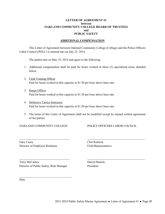#### **LETTER OF AGREEMENT #1 between OAKLAND COMMUNITY COLLEGE BOARD OF TRUSTEES and PUBLIC SAFETY**

#### **ADDITIONAL COMPENSATION**

<span id="page-51-0"></span>This Letter of Agreement between Oakland Community College (College) and the Police Officers Labor Council (POLC) is entered into on July 23, 2014.

The parties met on May 19, 2014 and agree to the following:

- 1. Additional compensation shall be paid for hours worked in three (3) specialized areas, detailed below.
- 2. Field Training Officer Paid for hours worked in this capacity at \$1.50 per hour above base rate.
- 3. Range Officer Paid for hours worked in this capacity at \$1.50 per hour above base rate.
- 4. Defensive Tactics Instructor Paid for hours worked in this capacity at \$1.50 per hour above base rate.
- 5. The terms of this Letter of Agreement shall not be modified except by mutual written agreement of the parties.

OAKLAND COMMUNITY COLLEGE POLICE OFFICERS LABOR COUNCIL

Gary Casey Chet Kulesza Director of Employee Relations Field Representative

Terry McCauley Darryl Daniels Director of Public Safety, Risk Manager President

Date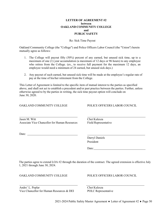#### **LETTER OF AGREEMENT #2 between OAKLAND COMMUNITY COLLEGE and PUBLIC SAFETY**

#### Re: Sick Time Payout

<span id="page-52-0"></span>Oakland Community College (the "College") and Police Officers Labor Council (the "Union") herein mutually agree as follows:

- 1. The College will payout fifty (50%) percent of any earned, but unused sick time, up to a maximum of one (1) year accumulation (a maximum of 12 days or 96 hours) to any employee who retires from the College. (ex., to receive full payment for the maximum 12 days, an employee would need a minimum of 24 earned, but unused sick days.)
- 2. Any payout of such earned, but unused sick time will be made at the employee's regular rate of pay at the time of his/her retirement from the College.

This Letter of Agreement is limited to the specific item of mutual interest to the parties as specified above, and shall not act to establish a precedent and/or past practice between the parties. Further, unless otherwise agreed to by the parties in writing, the sick time payout option will conclude on June 30, 2020.

OAKLAND COMMUNITY COLLEGE POLICE OFFICERS LABOR COUNCIL

Jasen M. Witt Chet Kulesza Associate Vice Chancellor for Human Resources Field Representative

Date:

Darryl Daniels President

Date:

The parties agree to extend LOA #2 through the duration of the contract. The agreed extension is effective July 1, 2021 through June 30, 2024.

OAKLAND COMMUNITY COLLEGE POLICE OFFICERS LABOR COUNCIL

Andre' L. Poplar Chet Kulesza Vice Chancellor for Human Resources & DEI POLC Representative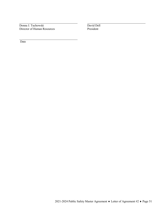Donna J. Tuchowski<br>Director of Human Resources<br>President Director of Human Resources

Date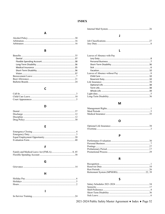#### **INDEX**

#### $\overline{\mathsf{A}}$

<span id="page-54-0"></span>

#### $\, {\bf B}$

#### $\mathbf c$

#### D

#### $\mathsf E$

#### F

#### $\mathsf{H}$

#### 

#### $\pmb{\mathsf{J}}$

#### $\mathsf{L}$

| Leaves of Absence with Pay |  |
|----------------------------|--|
|                            |  |
|                            |  |
|                            |  |
|                            |  |
|                            |  |
|                            |  |
|                            |  |
|                            |  |
|                            |  |
|                            |  |
|                            |  |
|                            |  |
|                            |  |
|                            |  |
|                            |  |

#### M

#### $\mathbf{o}$

#### P

#### $\mathsf R$

#### $\mathsf{s}$

2021-2024 Public Safety Master Agreement ♦ Index ♦ Page 52